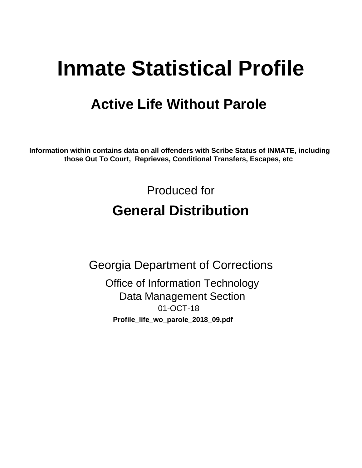# **Inmate Statistical Profile**

## **Active Life Without Parole**

Information within contains data on all offenders with Scribe Status of INMATE, including those Out To Court, Reprieves, Conditional Transfers, Escapes, etc

> Produced for **General Distribution**

**Georgia Department of Corrections Office of Information Technology Data Management Section** 01-OCT-18 Profile\_life\_wo\_parole\_2018\_09.pdf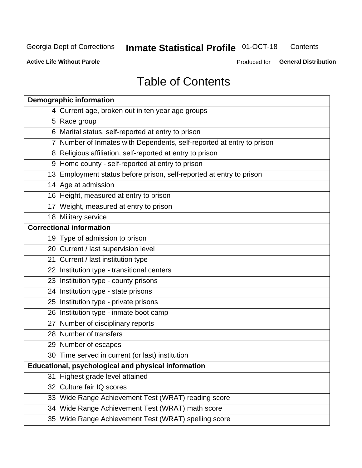#### **Inmate Statistical Profile 01-OCT-18** Contents

**Active Life Without Parole** 

Produced for General Distribution

## **Table of Contents**

|    | <b>Demographic information</b>                                        |
|----|-----------------------------------------------------------------------|
|    | 4 Current age, broken out in ten year age groups                      |
|    | 5 Race group                                                          |
|    | 6 Marital status, self-reported at entry to prison                    |
|    | 7 Number of Inmates with Dependents, self-reported at entry to prison |
|    | 8 Religious affiliation, self-reported at entry to prison             |
|    | 9 Home county - self-reported at entry to prison                      |
|    | 13 Employment status before prison, self-reported at entry to prison  |
|    | 14 Age at admission                                                   |
|    | 16 Height, measured at entry to prison                                |
|    | 17 Weight, measured at entry to prison                                |
|    | 18 Military service                                                   |
|    | <b>Correctional information</b>                                       |
|    | 19 Type of admission to prison                                        |
|    | 20 Current / last supervision level                                   |
|    | 21 Current / last institution type                                    |
|    | 22 Institution type - transitional centers                            |
|    | 23 Institution type - county prisons                                  |
|    | 24 Institution type - state prisons                                   |
|    | 25 Institution type - private prisons                                 |
|    | 26 Institution type - inmate boot camp                                |
|    | 27 Number of disciplinary reports                                     |
|    | 28 Number of transfers                                                |
|    | 29 Number of escapes                                                  |
|    | 30 Time served in current (or last) institution                       |
|    | Educational, psychological and physical information                   |
| 31 | Highest grade level attained                                          |
|    | 32 Culture fair IQ scores                                             |
|    | 33 Wide Range Achievement Test (WRAT) reading score                   |
|    | 34 Wide Range Achievement Test (WRAT) math score                      |
|    | 35 Wide Range Achievement Test (WRAT) spelling score                  |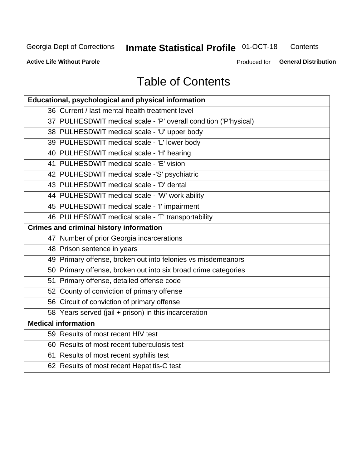#### **Inmate Statistical Profile 01-OCT-18** Contents

**Active Life Without Parole** 

Produced for General Distribution

## **Table of Contents**

| Educational, psychological and physical information              |
|------------------------------------------------------------------|
| 36 Current / last mental health treatment level                  |
| 37 PULHESDWIT medical scale - 'P' overall condition ('P'hysical) |
| 38 PULHESDWIT medical scale - 'U' upper body                     |
| 39 PULHESDWIT medical scale - 'L' lower body                     |
| 40 PULHESDWIT medical scale - 'H' hearing                        |
| 41 PULHESDWIT medical scale - 'E' vision                         |
| 42 PULHESDWIT medical scale -'S' psychiatric                     |
| 43 PULHESDWIT medical scale - 'D' dental                         |
| 44 PULHESDWIT medical scale - 'W' work ability                   |
| 45 PULHESDWIT medical scale - 'I' impairment                     |
| 46 PULHESDWIT medical scale - 'T' transportability               |
| <b>Crimes and criminal history information</b>                   |
| 47 Number of prior Georgia incarcerations                        |
| 48 Prison sentence in years                                      |
| 49 Primary offense, broken out into felonies vs misdemeanors     |
| 50 Primary offense, broken out into six broad crime categories   |
| 51 Primary offense, detailed offense code                        |
| 52 County of conviction of primary offense                       |
| 56 Circuit of conviction of primary offense                      |
| 58 Years served (jail + prison) in this incarceration            |
| <b>Medical information</b>                                       |
| 59 Results of most recent HIV test                               |
| 60 Results of most recent tuberculosis test                      |
| 61 Results of most recent syphilis test                          |
| 62 Results of most recent Hepatitis-C test                       |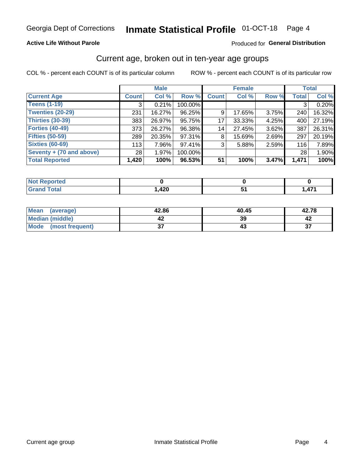### **Active Life Without Parole**

### Produced for General Distribution

### Current age, broken out in ten-year age groups

COL % - percent each COUNT is of its particular column

|                          | <b>Male</b>  |        |         | <b>Female</b> |        |       |              | <b>Total</b> |
|--------------------------|--------------|--------|---------|---------------|--------|-------|--------------|--------------|
| <b>Current Age</b>       | <b>Count</b> | Col %  | Row %   | <b>Count</b>  | Col %  | Row % | <b>Total</b> | Col %        |
| <b>Teens (1-19)</b>      | 3            | 0.21%  | 100.00% |               |        |       | 3            | 0.20%        |
| <b>Twenties (20-29)</b>  | 231          | 16.27% | 96.25%  | 9             | 17.65% | 3.75% | 240          | 16.32%       |
| Thirties (30-39)         | 383          | 26.97% | 95.75%  | 17            | 33.33% | 4.25% | 400          | 27.19%       |
| <b>Forties (40-49)</b>   | 373          | 26.27% | 96.38%  | 14            | 27.45% | 3.62% | 387          | 26.31%       |
| <b>Fifties (50-59)</b>   | 289          | 20.35% | 97.31%  | 8             | 15.69% | 2.69% | 297          | 20.19%       |
| <b>Sixties (60-69)</b>   | 113          | 7.96%  | 97.41%  | 3             | 5.88%  | 2.59% | 116          | 7.89%        |
| Seventy + (70 and above) | 28           | 1.97%  | 100.00% |               |        |       | 28           | 1.90%        |
| <b>Total Reported</b>    | 1,420        | 100%   | 96.53%  | 51            | 100%   | 3.47% | 1,471        | 100%         |

| orted<br>NOT<br>u keper<br>. <b>.</b> |           |         |
|---------------------------------------|-----------|---------|
| <b>Total</b>                          | $\Lambda$ | $A - A$ |
| <b>CHAM</b>                           | ∪∡⊬,⊧     | .       |

| Mean<br>(average)    | 42.86  | 40.45 | 42.78        |
|----------------------|--------|-------|--------------|
| Median (middle)      |        | 39    |              |
| Mode (most frequent) | ົ<br>◡ |       | $\sim$<br>J. |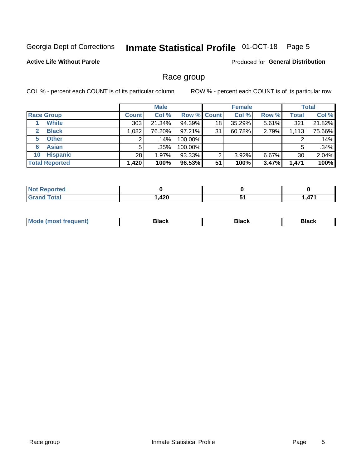#### **Inmate Statistical Profile 01-OCT-18** Page 5

### **Active Life Without Parole**

Produced for General Distribution

### Race group

COL % - percent each COUNT is of its particular column

|                              | <b>Male</b>  |         |                    | <b>Female</b> |        |          |       | <b>Total</b> |
|------------------------------|--------------|---------|--------------------|---------------|--------|----------|-------|--------------|
| <b>Race Group</b>            | <b>Count</b> | Col %   | <b>Row % Count</b> |               | Col %  | Row %    | Total | Col %        |
| <b>White</b>                 | 303          | 21.34%  | 94.39%             | 18            | 35.29% | 5.61%    | 321   | 21.82%       |
| <b>Black</b><br>$\mathbf{2}$ | 1,082        | 76.20%  | $97.21\%$          | 31            | 60.78% | 2.79%    | 1,113 | 75.66%       |
| <b>Other</b><br>5.           |              | $.14\%$ | 100.00%            |               |        |          | 2     | .14%         |
| <b>Asian</b><br>6            | 5            | $.35\%$ | 100.00%            |               |        |          | 5     | .34%         |
| <b>Hispanic</b><br>10        | 28           | 1.97%   | 93.33%             | ⌒             | 3.92%  | $6.67\%$ | 30    | 2.04%        |
| <b>Total Reported</b>        | 1,420        | 100%    | 96.53%             | 51            | 100%   | 3.47%    | 1,471 | 100%         |

| <b>rted</b><br>N |      |                       |     |
|------------------|------|-----------------------|-----|
| <b>Total</b>     | ,420 | $\bullet$ .<br>$\sim$ | 474 |

| –•••• |  | M |  |  |  |
|-------|--|---|--|--|--|
|-------|--|---|--|--|--|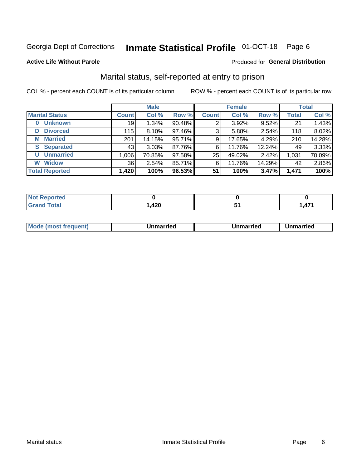#### **Inmate Statistical Profile 01-OCT-18** Page 6

### **Active Life Without Parole**

### Produced for General Distribution

### Marital status, self-reported at entry to prison

COL % - percent each COUNT is of its particular column

| <b>Male</b>                |              |          | <b>Female</b> | <b>Total</b> |        |        |              |        |
|----------------------------|--------------|----------|---------------|--------------|--------|--------|--------------|--------|
| <b>Marital Status</b>      | <b>Count</b> | Col %    | Row %         | <b>Count</b> | Col %  | Row %  | <b>Total</b> | Col %  |
| <b>Unknown</b><br>$\bf{0}$ | 19           | 1.34%    | 90.48%        | 2            | 3.92%  | 9.52%  | 21           | 1.43%  |
| <b>Divorced</b><br>D       | 115          | $8.10\%$ | 97.46%        | 3            | 5.88%  | 2.54%  | 118          | 8.02%  |
| <b>Married</b><br>М        | 201          | 14.15%   | 95.71%        | 9            | 17.65% | 4.29%  | 210          | 14.28% |
| <b>Separated</b><br>S.     | 43           | 3.03%    | 87.76%        | 6            | 11.76% | 12.24% | 49           | 3.33%  |
| <b>Unmarried</b><br>U      | 1,006        | 70.85%   | 97.58%        | 25           | 49.02% | 2.42%  | 1,031        | 70.09% |
| <b>Widow</b><br>W          | 36           | 2.54%    | 85.71%        | 6            | 11.76% | 14.29% | 42           | 2.86%  |
| <b>Total Reported</b>      | 1,420        | 100%     | 96.53%        | 51           | 100%   | 3.47%  | 1,471        | 100%   |

| orted<br>NOT RADO |             |                    |
|-------------------|-------------|--------------------|
| <b>Total</b>      | חרי<br>44 U | $1 - 1$<br>A.<br>. |

|  | Mo | ımarrıed | Unmarried | Unmarried |
|--|----|----------|-----------|-----------|
|--|----|----------|-----------|-----------|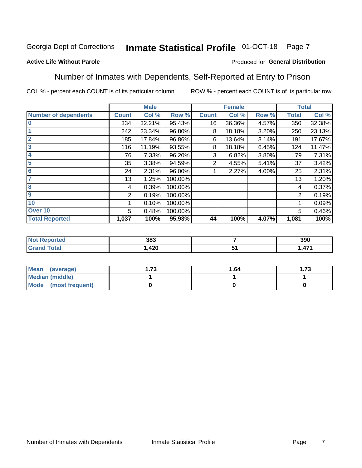#### Inmate Statistical Profile 01-OCT-18 Page 7

### **Active Life Without Parole**

### Produced for General Distribution

### Number of Inmates with Dependents, Self-Reported at Entry to Prison

COL % - percent each COUNT is of its particular column

|                             |              | <b>Male</b> |         |              | <b>Female</b> |       |              | <b>Total</b> |
|-----------------------------|--------------|-------------|---------|--------------|---------------|-------|--------------|--------------|
| <b>Number of dependents</b> | <b>Count</b> | Col %       | Row %   | <b>Count</b> | Col %         | Row % | <b>Total</b> | Col %        |
| l 0                         | 334          | 32.21%      | 95.43%  | 16           | 36.36%        | 4.57% | 350          | 32.38%       |
|                             | 242          | 23.34%      | 96.80%  | 8            | 18.18%        | 3.20% | 250          | 23.13%       |
| $\overline{2}$              | 185          | 17.84%      | 96.86%  | 6            | 13.64%        | 3.14% | 191          | 17.67%       |
| $\overline{\mathbf{3}}$     | 116          | 11.19%      | 93.55%  | 8            | 18.18%        | 6.45% | 124          | 11.47%       |
| 4                           | 76           | 7.33%       | 96.20%  | 3            | 6.82%         | 3.80% | 79           | 7.31%        |
| $\overline{\mathbf{5}}$     | 35           | 3.38%       | 94.59%  | 2            | 4.55%         | 5.41% | 37           | 3.42%        |
| 6                           | 24           | 2.31%       | 96.00%  |              | 2.27%         | 4.00% | 25           | 2.31%        |
| 7                           | 13           | 1.25%       | 100.00% |              |               |       | 13           | 1.20%        |
| $\overline{\mathbf{8}}$     | 4            | 0.39%       | 100.00% |              |               |       | 4            | 0.37%        |
| 9                           | 2            | 0.19%       | 100.00% |              |               |       | 2            | 0.19%        |
| 10                          |              | 0.10%       | 100.00% |              |               |       | 1            | 0.09%        |
| Over 10                     | 5            | 0.48%       | 100.00% |              |               |       | 5            | 0.46%        |
| <b>Total Reported</b>       | 1,037        | 100%        | 95.93%  | 44           | 100%          | 4.07% | 1,081        | 100%         |

| τeα  | 383  |           | 390     |
|------|------|-----------|---------|
| υιαι | れつの  | -         | $1 - 1$ |
|      | 44 U | $\bullet$ | .       |

| Mean (average)          | 70 | 1.64 | 70<br>I . / J |
|-------------------------|----|------|---------------|
| <b>Median (middle)</b>  |    |      |               |
| Mode<br>(most frequent) |    |      |               |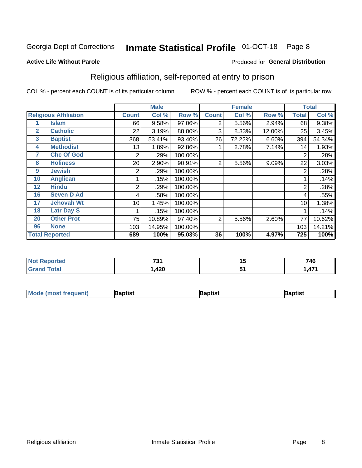#### **Inmate Statistical Profile 01-OCT-18** Page 8

### **Active Life Without Parole**

### Produced for General Distribution

### Religious affiliation, self-reported at entry to prison

COL % - percent each COUNT is of its particular column

|              |                              | <b>Male</b>  |        |         |              | <b>Female</b> | <b>Total</b> |       |        |
|--------------|------------------------------|--------------|--------|---------|--------------|---------------|--------------|-------|--------|
|              | <b>Religious Affiliation</b> | <b>Count</b> | Col %  | Row %   | <b>Count</b> | Col %         | Row %        | Total | Col %  |
|              | <b>Islam</b>                 | 66           | 9.58%  | 97.06%  | 2            | 5.56%         | 2.94%        | 68    | 9.38%  |
| $\mathbf{2}$ | <b>Catholic</b>              | 22           | 3.19%  | 88.00%  | 3            | 8.33%         | 12.00%       | 25    | 3.45%  |
| 3            | <b>Baptist</b>               | 368          | 53.41% | 93.40%  | 26           | 72.22%        | 6.60%        | 394   | 54.34% |
| 4            | <b>Methodist</b>             | 13           | 1.89%  | 92.86%  |              | 2.78%         | 7.14%        | 14    | 1.93%  |
| 7            | <b>Chc Of God</b>            | 2            | .29%   | 100.00% |              |               |              | 2     | .28%   |
| 8            | <b>Holiness</b>              | 20           | 2.90%  | 90.91%  | 2            | 5.56%         | 9.09%        | 22    | 3.03%  |
| 9            | <b>Jewish</b>                | 2            | .29%   | 100.00% |              |               |              | 2     | .28%   |
| 10           | <b>Anglican</b>              |              | .15%   | 100.00% |              |               |              |       | .14%   |
| 12           | <b>Hindu</b>                 | 2            | .29%   | 100.00% |              |               |              | 2     | .28%   |
| 16           | <b>Seven D Ad</b>            | 4            | .58%   | 100.00% |              |               |              | 4     | .55%   |
| 17           | <b>Jehovah Wt</b>            | 10           | 1.45%  | 100.00% |              |               |              | 10    | 1.38%  |
| 18           | <b>Latr Day S</b>            |              | .15%   | 100.00% |              |               |              |       | .14%   |
| 20           | <b>Other Prot</b>            | 75           | 10.89% | 97.40%  | 2            | 5.56%         | 2.60%        | 77    | 10.62% |
| 96           | <b>None</b>                  | 103          | 14.95% | 100.00% |              |               |              | 103   | 14.21% |
|              | <b>Total Reported</b>        | 689          | 100%   | 95.03%  | 36           | 100%          | 4.97%        | 725   | 100%   |

| reo                   | <b>704</b><br>. ن<br>$\sim$ $\sim$ | . .<br>1 J | 746                 |
|-----------------------|------------------------------------|------------|---------------------|
| $f \wedge f \wedge f$ | $\sqrt{2}$<br>,44u                 | . .        | A74<br>$\mathbf{r}$ |

| <b>Mode (most frequent)</b> | 3aptist | 3aptist | Baptist |
|-----------------------------|---------|---------|---------|
|-----------------------------|---------|---------|---------|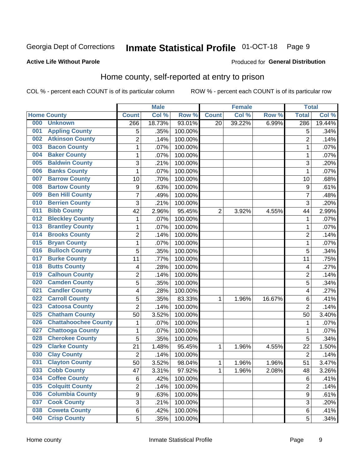#### **Inmate Statistical Profile 01-OCT-18** Page 9

### **Active Life Without Parole**

### Produced for General Distribution

### Home county, self-reported at entry to prison

COL % - percent each COUNT is of its particular column

|     |                             |                  | <b>Male</b> |         |                | <b>Female</b> |        | <b>Total</b>   |        |
|-----|-----------------------------|------------------|-------------|---------|----------------|---------------|--------|----------------|--------|
|     | <b>Home County</b>          | <b>Count</b>     | Col %       | Row %   | <b>Count</b>   | Col %         | Row %  | <b>Total</b>   | Col %  |
| 000 | <b>Unknown</b>              | 266              | 18.73%      | 93.01%  | 20             | 39.22%        | 6.99%  | 286            | 19.44% |
| 001 | <b>Appling County</b>       | 5                | .35%        | 100.00% |                |               |        | 5              | .34%   |
| 002 | <b>Atkinson County</b>      | $\overline{2}$   | .14%        | 100.00% |                |               |        | $\overline{2}$ | .14%   |
| 003 | <b>Bacon County</b>         | $\mathbf{1}$     | .07%        | 100.00% |                |               |        | 1              | .07%   |
| 004 | <b>Baker County</b>         | $\mathbf 1$      | .07%        | 100.00% |                |               |        | 1              | .07%   |
| 005 | <b>Baldwin County</b>       | 3                | .21%        | 100.00% |                |               |        | 3              | .20%   |
| 006 | <b>Banks County</b>         | $\mathbf 1$      | .07%        | 100.00% |                |               |        | 1              | .07%   |
| 007 | <b>Barrow County</b>        | 10               | .70%        | 100.00% |                |               |        | 10             | .68%   |
| 008 | <b>Bartow County</b>        | $\boldsymbol{9}$ | .63%        | 100.00% |                |               |        | 9              | .61%   |
| 009 | <b>Ben Hill County</b>      | $\overline{7}$   | .49%        | 100.00% |                |               |        | $\overline{7}$ | .48%   |
| 010 | <b>Berrien County</b>       | 3                | .21%        | 100.00% |                |               |        | 3              | .20%   |
| 011 | <b>Bibb County</b>          | 42               | 2.96%       | 95.45%  | $\overline{2}$ | 3.92%         | 4.55%  | 44             | 2.99%  |
| 012 | <b>Bleckley County</b>      | 1                | .07%        | 100.00% |                |               |        | 1              | .07%   |
| 013 | <b>Brantley County</b>      | $\mathbf 1$      | .07%        | 100.00% |                |               |        | 1              | .07%   |
| 014 | <b>Brooks County</b>        | $\overline{2}$   | .14%        | 100.00% |                |               |        | $\overline{2}$ | .14%   |
| 015 | <b>Bryan County</b>         | 1                | .07%        | 100.00% |                |               |        | 1              | .07%   |
| 016 | <b>Bulloch County</b>       | 5                | .35%        | 100.00% |                |               |        | 5              | .34%   |
| 017 | <b>Burke County</b>         | 11               | .77%        | 100.00% |                |               |        | 11             | .75%   |
| 018 | <b>Butts County</b>         | 4                | .28%        | 100.00% |                |               |        | 4              | .27%   |
| 019 | <b>Calhoun County</b>       | $\overline{c}$   | .14%        | 100.00% |                |               |        | $\overline{2}$ | .14%   |
| 020 | <b>Camden County</b>        | 5                | .35%        | 100.00% |                |               |        | 5              | .34%   |
| 021 | <b>Candler County</b>       | 4                | .28%        | 100.00% |                |               |        | 4              | .27%   |
| 022 | <b>Carroll County</b>       | 5                | .35%        | 83.33%  | 1              | 1.96%         | 16.67% | 6              | .41%   |
| 023 | <b>Catoosa County</b>       | $\overline{2}$   | .14%        | 100.00% |                |               |        | $\overline{2}$ | .14%   |
| 025 | <b>Chatham County</b>       | 50               | 3.52%       | 100.00% |                |               |        | 50             | 3.40%  |
| 026 | <b>Chattahoochee County</b> | 1                | .07%        | 100.00% |                |               |        | 1              | .07%   |
| 027 | <b>Chattooga County</b>     | $\mathbf 1$      | .07%        | 100.00% |                |               |        | 1              | .07%   |
| 028 | <b>Cherokee County</b>      | 5                | .35%        | 100.00% |                |               |        | 5              | .34%   |
| 029 | <b>Clarke County</b>        | 21               | 1.48%       | 95.45%  | 1              | 1.96%         | 4.55%  | 22             | 1.50%  |
| 030 | <b>Clay County</b>          | $\overline{2}$   | .14%        | 100.00% |                |               |        | $\overline{2}$ | .14%   |
| 031 | <b>Clayton County</b>       | 50               | 3.52%       | 98.04%  | 1              | 1.96%         | 1.96%  | 51             | 3.47%  |
| 033 | <b>Cobb County</b>          | 47               | 3.31%       | 97.92%  | 1              | 1.96%         | 2.08%  | 48             | 3.26%  |
| 034 | <b>Coffee County</b>        | 6                | .42%        | 100.00% |                |               |        | 6              | .41%   |
| 035 | <b>Colquitt County</b>      | $\overline{2}$   | .14%        | 100.00% |                |               |        | $\overline{2}$ | .14%   |
| 036 | <b>Columbia County</b>      | $\overline{9}$   | .63%        | 100.00% |                |               |        | 9              | .61%   |
| 037 | <b>Cook County</b>          | 3                | .21%        | 100.00% |                |               |        | 3              | .20%   |
| 038 | <b>Coweta County</b>        | 6                | .42%        | 100.00% |                |               |        | 6              | .41%   |
| 040 | <b>Crisp County</b>         | 5                | .35%        | 100.00% |                |               |        | 5              | .34%   |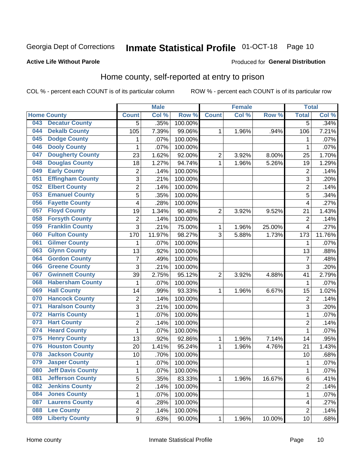## Inmate Statistical Profile 01-OCT-18 Page 10

### **Active Life Without Parole**

### Produced for General Distribution

### Home county, self-reported at entry to prison

COL % - percent each COUNT is of its particular column

|     |                          |                | <b>Male</b> |         |                | <b>Female</b> |        | <b>Total</b>   |         |
|-----|--------------------------|----------------|-------------|---------|----------------|---------------|--------|----------------|---------|
|     | <b>Home County</b>       | <b>Count</b>   | Col %       | Row %   | <b>Count</b>   | Col %         | Row %  | <b>Total</b>   | Col %   |
| 043 | <b>Decatur County</b>    | 5              | .35%        | 100.00% |                |               |        | 5              | .34%    |
| 044 | <b>Dekalb County</b>     | 105            | 7.39%       | 99.06%  | 1              | 1.96%         | .94%   | 106            | 7.21%   |
| 045 | <b>Dodge County</b>      | 1              | .07%        | 100.00% |                |               |        | 1              | .07%    |
| 046 | <b>Dooly County</b>      | 1              | .07%        | 100.00% |                |               |        | 1              | .07%    |
| 047 | <b>Dougherty County</b>  | 23             | 1.62%       | 92.00%  | $\overline{c}$ | 3.92%         | 8.00%  | 25             | 1.70%   |
| 048 | <b>Douglas County</b>    | 18             | 1.27%       | 94.74%  | 1              | 1.96%         | 5.26%  | 19             | 1.29%   |
| 049 | <b>Early County</b>      | $\overline{c}$ | .14%        | 100.00% |                |               |        | $\overline{2}$ | .14%    |
| 051 | <b>Effingham County</b>  | 3              | .21%        | 100.00% |                |               |        | 3              | .20%    |
| 052 | <b>Elbert County</b>     | $\overline{c}$ | .14%        | 100.00% |                |               |        | $\overline{2}$ | .14%    |
| 053 | <b>Emanuel County</b>    | 5              | .35%        | 100.00% |                |               |        | 5              | .34%    |
| 056 | <b>Fayette County</b>    | 4              | .28%        | 100.00% |                |               |        | 4              | .27%    |
| 057 | <b>Floyd County</b>      | 19             | 1.34%       | 90.48%  | $\overline{2}$ | 3.92%         | 9.52%  | 21             | 1.43%   |
| 058 | <b>Forsyth County</b>    | $\overline{c}$ | .14%        | 100.00% |                |               |        | $\overline{2}$ | .14%    |
| 059 | <b>Franklin County</b>   | 3              | .21%        | 75.00%  | $\mathbf{1}$   | 1.96%         | 25.00% | 4              | .27%    |
| 060 | <b>Fulton County</b>     | 170            | 11.97%      | 98.27%  | 3              | 5.88%         | 1.73%  | 173            | 11.76%  |
| 061 | <b>Gilmer County</b>     | 1              | .07%        | 100.00% |                |               |        | 1              | .07%    |
| 063 | <b>Glynn County</b>      | 13             | .92%        | 100.00% |                |               |        | 13             | .88%    |
| 064 | <b>Gordon County</b>     | $\overline{7}$ | .49%        | 100.00% |                |               |        | 7              | .48%    |
| 066 | <b>Greene County</b>     | 3              | .21%        | 100.00% |                |               |        | 3              | .20%    |
| 067 | <b>Gwinnett County</b>   | 39             | 2.75%       | 95.12%  | $\overline{2}$ | 3.92%         | 4.88%  | 41             | 2.79%   |
| 068 | <b>Habersham County</b>  | $\mathbf 1$    | .07%        | 100.00% |                |               |        | 1              | .07%    |
| 069 | <b>Hall County</b>       | 14             | .99%        | 93.33%  | 1              | 1.96%         | 6.67%  | 15             | 1.02%   |
| 070 | <b>Hancock County</b>    | $\overline{2}$ | .14%        | 100.00% |                |               |        | $\overline{2}$ | .14%    |
| 071 | <b>Haralson County</b>   | 3              | .21%        | 100.00% |                |               |        | 3              | .20%    |
| 072 | <b>Harris County</b>     | $\mathbf 1$    | .07%        | 100.00% |                |               |        | 1              | .07%    |
| 073 | <b>Hart County</b>       | $\overline{c}$ | .14%        | 100.00% |                |               |        | $\overline{2}$ | .14%    |
| 074 | <b>Heard County</b>      | $\mathbf 1$    | .07%        | 100.00% |                |               |        | 1              | .07%    |
| 075 | <b>Henry County</b>      | 13             | .92%        | 92.86%  | 1              | 1.96%         | 7.14%  | 14             | .95%    |
| 076 | <b>Houston County</b>    | 20             | 1.41%       | 95.24%  | 1              | 1.96%         | 4.76%  | 21             | 1.43%   |
| 078 | <b>Jackson County</b>    | 10             | .70%        | 100.00% |                |               |        | 10             | .68%    |
| 079 | <b>Jasper County</b>     | 1              | .07%        | 100.00% |                |               |        | 1              | .07%    |
| 080 | <b>Jeff Davis County</b> | 1              | .07%        | 100.00% |                |               |        | 1              | $.07\%$ |
| 081 | <b>Jefferson County</b>  | $\overline{5}$ | .35%        | 83.33%  | $\mathbf{1}$   | 1.96%         | 16.67% | 6              | .41%    |
| 082 | <b>Jenkins County</b>    | $\overline{2}$ | .14%        | 100.00% |                |               |        | 2              | .14%    |
| 084 | <b>Jones County</b>      | $\mathbf 1$    | .07%        | 100.00% |                |               |        | $\mathbf 1$    | .07%    |
| 087 | <b>Laurens County</b>    | 4              | .28%        | 100.00% |                |               |        | 4              | .27%    |
| 088 | <b>Lee County</b>        | $\overline{c}$ | .14%        | 100.00% |                |               |        | $\overline{2}$ | .14%    |
| 089 | <b>Liberty County</b>    | 9              | .63%        | 90.00%  | $\mathbf 1$    | 1.96%         | 10.00% | 10             | .68%    |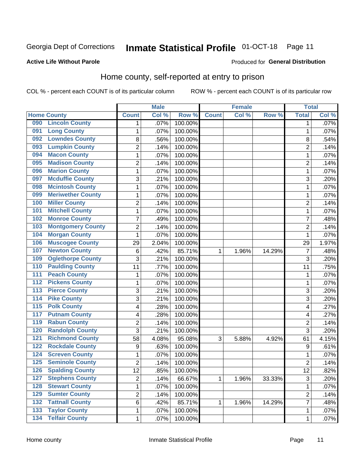## Inmate Statistical Profile 01-OCT-18 Page 11

### **Active Life Without Parole**

### Produced for General Distribution

### Home county, self-reported at entry to prison

COL % - percent each COUNT is of its particular column

|                  |                          |                         | <b>Male</b> |         |              | <b>Female</b> |        | <b>Total</b>      |         |
|------------------|--------------------------|-------------------------|-------------|---------|--------------|---------------|--------|-------------------|---------|
|                  | <b>Home County</b>       | <b>Count</b>            | Col %       | Row %   | <b>Count</b> | Col%          | Row %  | <b>Total</b>      | Col %   |
| 090              | <b>Lincoln County</b>    | 1                       | .07%        | 100.00% |              |               |        | 1                 | $.07\%$ |
| 091              | <b>Long County</b>       | 1                       | .07%        | 100.00% |              |               |        | 1                 | .07%    |
| 092              | <b>Lowndes County</b>    | 8                       | .56%        | 100.00% |              |               |        | 8                 | .54%    |
| 093              | <b>Lumpkin County</b>    | $\overline{2}$          | .14%        | 100.00% |              |               |        | $\overline{2}$    | .14%    |
| 094              | <b>Macon County</b>      | $\mathbf 1$             | .07%        | 100.00% |              |               |        | 1                 | .07%    |
| 095              | <b>Madison County</b>    | $\overline{2}$          | .14%        | 100.00% |              |               |        | $\overline{2}$    | .14%    |
| 096              | <b>Marion County</b>     | $\mathbf 1$             | .07%        | 100.00% |              |               |        | 1                 | .07%    |
| 097              | <b>Mcduffie County</b>   | 3                       | .21%        | 100.00% |              |               |        | 3                 | .20%    |
| 098              | <b>Mcintosh County</b>   | $\mathbf 1$             | .07%        | 100.00% |              |               |        | 1                 | .07%    |
| 099              | <b>Meriwether County</b> | $\mathbf 1$             | .07%        | 100.00% |              |               |        | 1                 | .07%    |
| 100              | <b>Miller County</b>     | $\overline{c}$          | .14%        | 100.00% |              |               |        | 2                 | .14%    |
| 101              | <b>Mitchell County</b>   | 1                       | .07%        | 100.00% |              |               |        | 1                 | .07%    |
| 102              | <b>Monroe County</b>     | 7                       | .49%        | 100.00% |              |               |        | 7                 | .48%    |
| 103              | <b>Montgomery County</b> | $\overline{c}$          | .14%        | 100.00% |              |               |        | $\overline{2}$    | .14%    |
| 104              | <b>Morgan County</b>     | 1                       | .07%        | 100.00% |              |               |        | 1                 | .07%    |
| 106              | <b>Muscogee County</b>   | 29                      | 2.04%       | 100.00% |              |               |        | 29                | 1.97%   |
| 107              | <b>Newton County</b>     | 6                       | .42%        | 85.71%  | 1            | 1.96%         | 14.29% | 7                 | .48%    |
| 109              | <b>Oglethorpe County</b> | 3                       | .21%        | 100.00% |              |               |        | 3                 | .20%    |
| 110              | <b>Paulding County</b>   | 11                      | .77%        | 100.00% |              |               |        | 11                | .75%    |
| 111              | <b>Peach County</b>      | $\mathbf 1$             | .07%        | 100.00% |              |               |        | 1                 | .07%    |
| 112              | <b>Pickens County</b>    | $\mathbf 1$             | .07%        | 100.00% |              |               |        | 1                 | .07%    |
| $\overline{113}$ | <b>Pierce County</b>     | 3                       | .21%        | 100.00% |              |               |        | 3                 | .20%    |
| 114              | <b>Pike County</b>       | 3                       | .21%        | 100.00% |              |               |        | 3                 | .20%    |
| 115              | <b>Polk County</b>       | 4                       | .28%        | 100.00% |              |               |        | 4                 | .27%    |
| 117              | <b>Putnam County</b>     | 4                       | .28%        | 100.00% |              |               |        | 4                 | .27%    |
| 119              | <b>Rabun County</b>      | $\overline{c}$          | .14%        | 100.00% |              |               |        | $\overline{2}$    | .14%    |
| 120              | <b>Randolph County</b>   | 3                       | .21%        | 100.00% |              |               |        | 3                 | .20%    |
| 121              | <b>Richmond County</b>   | 58                      | 4.08%       | 95.08%  | 3            | 5.88%         | 4.92%  | 61                | 4.15%   |
| 122              | <b>Rockdale County</b>   | $\boldsymbol{9}$        | .63%        | 100.00% |              |               |        | 9                 | .61%    |
| 124              | <b>Screven County</b>    | 1                       | .07%        | 100.00% |              |               |        | 1                 | .07%    |
| 125              | <b>Seminole County</b>   | $\overline{2}$          | .14%        | 100.00% |              |               |        | $\overline{2}$    | .14%    |
| 126              | <b>Spalding County</b>   | 12                      | .85%        | 100.00% |              |               |        | $12 \overline{ }$ | .82%    |
| 127              | <b>Stephens County</b>   | $\overline{c}$          | .14%        | 66.67%  | $\mathbf{1}$ | 1.96%         | 33.33% | 3                 | .20%    |
| 128              | <b>Stewart County</b>    | 1                       | .07%        | 100.00% |              |               |        | 1                 | .07%    |
| 129              | <b>Sumter County</b>     | $\overline{\mathbf{c}}$ | .14%        | 100.00% |              |               |        | 2                 | .14%    |
| 132              | <b>Tattnall County</b>   | 6                       | .42%        | 85.71%  | 1            | 1.96%         | 14.29% | 7                 | .48%    |
| 133              | <b>Taylor County</b>     | $\mathbf{1}$            | .07%        | 100.00% |              |               |        | 1                 | .07%    |
| 134              | <b>Telfair County</b>    | $\mathbf{1}$            | .07%        | 100.00% |              |               |        | 1                 | .07%    |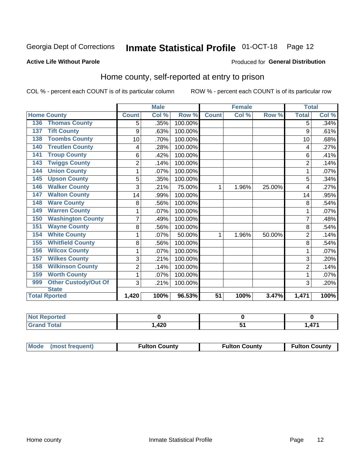## Inmate Statistical Profile 01-OCT-18 Page 12

### **Active Life Without Parole**

### Produced for General Distribution

### Home county, self-reported at entry to prison

COL % - percent each COUNT is of its particular column

| <b>Male</b>  |       |         |              | <b>Female</b> |        | <b>Total</b>   |       |
|--------------|-------|---------|--------------|---------------|--------|----------------|-------|
| <b>Count</b> | Col % | Row %   | <b>Count</b> | Col %         | Row %  | <b>Total</b>   | Col % |
| 5            | .35%  | 100.00% |              |               |        | 5              | .34%  |
| 9            | .63%  | 100.00% |              |               |        | 9              | .61%  |
| 10           | .70%  | 100.00% |              |               |        | 10             | .68%  |
| 4            | .28%  | 100.00% |              |               |        | 4              | .27%  |
| 6            | .42%  | 100.00% |              |               |        | 6              | .41%  |
| 2            | .14%  | 100.00% |              |               |        | $\overline{c}$ | .14%  |
| 1            | .07%  | 100.00% |              |               |        | 1              | .07%  |
| 5            | .35%  | 100.00% |              |               |        | 5              | .34%  |
| 3            | .21%  | 75.00%  | 1            | 1.96%         | 25.00% | 4              | .27%  |
| 14           | .99%  | 100.00% |              |               |        | 14             | .95%  |
| 8            | .56%  | 100.00% |              |               |        | 8              | .54%  |
| 1            | .07%  | 100.00% |              |               |        | 1              | .07%  |
| 7            | .49%  | 100.00% |              |               |        | 7              | .48%  |
| 8            | .56%  | 100.00% |              |               |        | 8              | .54%  |
| 1            | .07%  | 50.00%  | 1            | 1.96%         | 50.00% | $\overline{2}$ | .14%  |
| 8            | .56%  | 100.00% |              |               |        | 8              | .54%  |
| 1            | .07%  | 100.00% |              |               |        | 1              | .07%  |
| 3            | .21%  | 100.00% |              |               |        | 3              | .20%  |
| 2            | .14%  | 100.00% |              |               |        | $\overline{2}$ | .14%  |
| 1            | .07%  | 100.00% |              |               |        | 1              | .07%  |
| 3            | .21%  | 100.00% |              |               |        | 3              | .20%  |
|              |       |         | 51           | 100%          |        |                | 100%  |
|              | 1,420 | 100%    | 96.53%       |               |        | 3.47%          | 1,471 |

| .∢eported    |      |                    |
|--------------|------|--------------------|
| <b>Total</b> | ,420 | $\rightarrow$<br>. |

| Mode (most frequent) | <b>Fulton County</b> | <b>Fulton County</b> | <b>Fulton County</b> |
|----------------------|----------------------|----------------------|----------------------|
|----------------------|----------------------|----------------------|----------------------|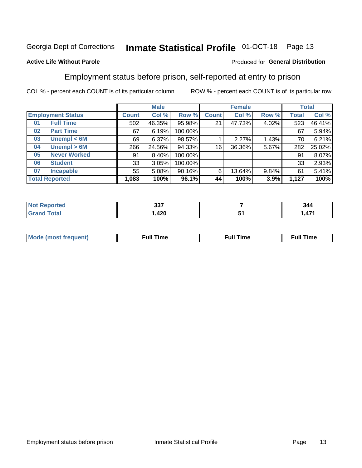#### **Inmate Statistical Profile 01-OCT-18** Page 13

### **Active Life Without Parole**

### Produced for General Distribution

### Employment status before prison, self-reported at entry to prison

COL % - percent each COUNT is of its particular column

|                           |         | <b>Male</b> |         |              | <b>Female</b> |       |              | <b>Total</b> |  |
|---------------------------|---------|-------------|---------|--------------|---------------|-------|--------------|--------------|--|
| <b>Employment Status</b>  | Count l | Col %       | Row %   | <b>Count</b> | Col %         | Row % | <b>Total</b> | Col %        |  |
| <b>Full Time</b><br>01    | 502     | 46.35%      | 95.98%  | 21           | 47.73%        | 4.02% | 523          | 46.41%       |  |
| <b>Part Time</b><br>02    | 67      | 6.19%       | 100.00% |              |               |       | 67           | 5.94%        |  |
| Unempl $<$ 6M<br>03       | 69      | 6.37%       | 98.57%  |              | 2.27%         | 1.43% | 70           | 6.21%        |  |
| Unempl > 6M<br>04         | 266     | 24.56%      | 94.33%  | 16           | 36.36%        | 5.67% | 282          | 25.02%       |  |
| <b>Never Worked</b><br>05 | 91      | 8.40%       | 100.00% |              |               |       | 91           | 8.07%        |  |
| <b>Student</b><br>06      | 33      | 3.05%       | 100.00% |              |               |       | 33           | 2.93%        |  |
| <b>Incapable</b><br>07    | 55      | 5.08%       | 90.16%  | 6            | 13.64%        | 9.84% | 61           | 5.41%        |  |
| <b>Total Reported</b>     | 1,083   | 100%        | 96.1%   | 44           | 100%          | 3.9%  | 1,127        | 100%         |  |

| τeι | へへっ<br>JJ1 | 344 |
|-----|------------|-----|
|     | ,420       | .   |

| Mc | ∴ull | ----<br>ıme<br>w |
|----|------|------------------|
|    |      |                  |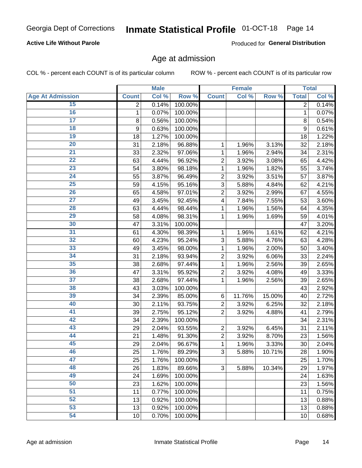### **Active Life Without Parole**

Produced for General Distribution

### Age at admission

COL % - percent each COUNT is of its particular column

|                         |                | <b>Male</b> |         |                           | <b>Female</b> |        |              | <b>Total</b> |
|-------------------------|----------------|-------------|---------|---------------------------|---------------|--------|--------------|--------------|
| <b>Age At Admission</b> | <b>Count</b>   | Col %       | Row %   | <b>Count</b>              | Col %         | Row %  | <b>Total</b> | Col %        |
| 15                      | $\overline{2}$ | 0.14%       | 100.00% |                           |               |        | 2            | 0.14%        |
| 16                      | 1              | 0.07%       | 100.00% |                           |               |        | $\mathbf{1}$ | 0.07%        |
| $\overline{17}$         | 8              | 0.56%       | 100.00% |                           |               |        | 8            | 0.54%        |
| 18                      | 9              | 0.63%       | 100.00% |                           |               |        | 9            | 0.61%        |
| 19                      | 18             | 1.27%       | 100.00% |                           |               |        | 18           | 1.22%        |
| $\overline{20}$         | 31             | 2.18%       | 96.88%  | 1                         | 1.96%         | 3.13%  | 32           | 2.18%        |
| 21                      | 33             | 2.32%       | 97.06%  | 1                         | 1.96%         | 2.94%  | 34           | 2.31%        |
| $\overline{22}$         | 63             | 4.44%       | 96.92%  | $\overline{2}$            | 3.92%         | 3.08%  | 65           | 4.42%        |
| 23                      | 54             | 3.80%       | 98.18%  | 1                         | 1.96%         | 1.82%  | 55           | 3.74%        |
| 24                      | 55             | 3.87%       | 96.49%  | $\overline{2}$            | 3.92%         | 3.51%  | 57           | 3.87%        |
| $\overline{25}$         | 59             | 4.15%       | 95.16%  | 3                         | 5.88%         | 4.84%  | 62           | 4.21%        |
| 26                      | 65             | 4.58%       | 97.01%  | $\overline{2}$            | 3.92%         | 2.99%  | 67           | 4.55%        |
| $\overline{27}$         | 49             | 3.45%       | 92.45%  | $\overline{\mathbf{4}}$   | 7.84%         | 7.55%  | 53           | 3.60%        |
| 28                      | 63             | 4.44%       | 98.44%  | 1                         | 1.96%         | 1.56%  | 64           | 4.35%        |
| 29                      | 58             | 4.08%       | 98.31%  | 1                         | 1.96%         | 1.69%  | 59           | 4.01%        |
| 30                      | 47             | 3.31%       | 100.00% |                           |               |        | 47           | 3.20%        |
| 31                      | 61             | 4.30%       | 98.39%  | 1                         | 1.96%         | 1.61%  | 62           | 4.21%        |
| $\overline{32}$         | 60             | 4.23%       | 95.24%  | 3                         | 5.88%         | 4.76%  | 63           | 4.28%        |
| 33                      | 49             | 3.45%       | 98.00%  | 1                         | 1.96%         | 2.00%  | 50           | 3.40%        |
| 34                      | 31             | 2.18%       | 93.94%  | $\overline{2}$            | 3.92%         | 6.06%  | 33           | 2.24%        |
| 35                      | 38             | 2.68%       | 97.44%  | 1                         | 1.96%         | 2.56%  | 39           | 2.65%        |
| 36                      | 47             | 3.31%       | 95.92%  | $\overline{2}$            | 3.92%         | 4.08%  | 49           | 3.33%        |
| $\overline{37}$         | 38             | 2.68%       | 97.44%  | 1                         | 1.96%         | 2.56%  | 39           | 2.65%        |
| 38                      | 43             | 3.03%       | 100.00% |                           |               |        | 43           | 2.92%        |
| 39                      | 34             | 2.39%       | 85.00%  | 6                         | 11.76%        | 15.00% | 40           | 2.72%        |
| 40                      | 30             | 2.11%       | 93.75%  | $\overline{c}$            | 3.92%         | 6.25%  | 32           | 2.18%        |
| 41                      | 39             | 2.75%       | 95.12%  | $\overline{2}$            | 3.92%         | 4.88%  | 41           | 2.79%        |
| 42                      | 34             | 2.39%       | 100.00% |                           |               |        | 34           | 2.31%        |
| 43                      | 29             | 2.04%       | 93.55%  | $\overline{c}$            | 3.92%         | 6.45%  | 31           | 2.11%        |
| 44                      | 21             | 1.48%       | 91.30%  | $\overline{c}$            | 3.92%         | 8.70%  | 23           | 1.56%        |
| 45                      | 29             | 2.04%       | 96.67%  | 1                         | 1.96%         | 3.33%  | 30           | 2.04%        |
| 46                      | 25             | 1.76%       | 89.29%  | $\ensuremath{\mathsf{3}}$ | 5.88%         | 10.71% | 28           | 1.90%        |
| 47                      | 25             | 1.76%       | 100.00% |                           |               |        | 25           | 1.70%        |
| 48                      | 26             | 1.83%       | 89.66%  | 3                         | 5.88%         | 10.34% | 29           | 1.97%        |
| 49                      | 24             | 1.69%       | 100.00% |                           |               |        | 24           | 1.63%        |
| 50                      | 23             | 1.62%       | 100.00% |                           |               |        | 23           | 1.56%        |
| $\overline{51}$         | 11             | 0.77%       | 100.00% |                           |               |        | 11           | 0.75%        |
| 52                      | 13             | 0.92%       | 100.00% |                           |               |        | 13           | 0.88%        |
| 53                      | 13             | 0.92%       | 100.00% |                           |               |        | 13           | 0.88%        |
| 54                      | 10             | 0.70%       | 100.00% |                           |               |        | 10           | 0.68%        |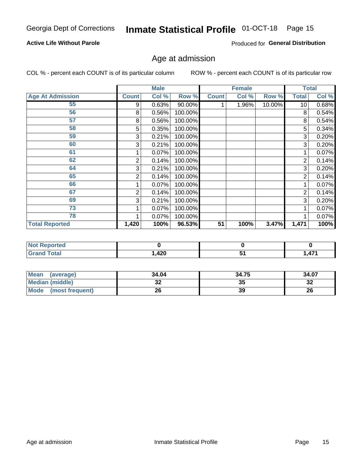### **Active Life Without Parole**

Produced for General Distribution

## Age at admission

COL % - percent each COUNT is of its particular column

|                         |              | <b>Male</b> |         |              | <b>Female</b> |        |                 | <b>Total</b> |
|-------------------------|--------------|-------------|---------|--------------|---------------|--------|-----------------|--------------|
| <b>Age At Admission</b> | <b>Count</b> | Col %       | Row %   | <b>Count</b> | Col %         | Row %  | <b>Total</b>    | Col %        |
| 55                      | 9            | 0.63%       | 90.00%  |              | 1.96%         | 10.00% | 10 <sup>1</sup> | 0.68%        |
| 56                      | 8            | 0.56%       | 100.00% |              |               |        | 8               | 0.54%        |
| 57                      | 8            | 0.56%       | 100.00% |              |               |        | 8               | 0.54%        |
| 58                      | 5            | 0.35%       | 100.00% |              |               |        | 5               | 0.34%        |
| 59                      | 3            | 0.21%       | 100.00% |              |               |        | 3               | 0.20%        |
| 60                      | 3            | 0.21%       | 100.00% |              |               |        | 3               | 0.20%        |
| 61                      |              | 0.07%       | 100.00% |              |               |        |                 | 0.07%        |
| 62                      | 2            | 0.14%       | 100.00% |              |               |        | 2               | 0.14%        |
| 64                      | 3            | 0.21%       | 100.00% |              |               |        | 3               | 0.20%        |
| 65                      | 2            | 0.14%       | 100.00% |              |               |        | 2               | 0.14%        |
| 66                      |              | 0.07%       | 100.00% |              |               |        |                 | 0.07%        |
| 67                      | 2            | 0.14%       | 100.00% |              |               |        | 2               | 0.14%        |
| 69                      | 3            | 0.21%       | 100.00% |              |               |        | 3               | 0.20%        |
| 73                      |              | 0.07%       | 100.00% |              |               |        |                 | 0.07%        |
| 78                      |              | 0.07%       | 100.00% |              |               |        |                 | 0.07%        |
| <b>Total Reported</b>   | 1,420        | 100%        | 96.53%  | 51           | 100%          | 3.47%  | 1,471           | 100%         |

| <b>Not Reported</b> |      |                                |
|---------------------|------|--------------------------------|
| <b>Fotal</b>        | ,420 | 174<br>$\mathbf{r}$<br>, , , , |

| <b>Mean</b><br>(average)       | 34.04 | 34.75 | 34.07    |
|--------------------------------|-------|-------|----------|
| <b>Median (middle)</b>         | ^^    | 35    | ົ<br>-52 |
| <b>Mode</b><br>(most frequent) | 26    | 39    | 26       |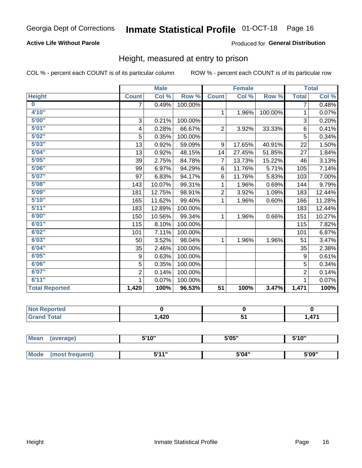### **Active Life Without Parole**

### Produced for General Distribution

### Height, measured at entry to prison

COL % - percent each COUNT is of its particular column

|                       |                | <b>Male</b> |         |                 | <b>Female</b> |         |                | <b>Total</b> |
|-----------------------|----------------|-------------|---------|-----------------|---------------|---------|----------------|--------------|
| <b>Height</b>         | <b>Count</b>   | Col %       | Row %   | <b>Count</b>    | Col %         | Row %   | <b>Total</b>   | Col %        |
| $\bf{0}$              | $\overline{7}$ | 0.49%       | 100.00% |                 |               |         | 7              | 0.48%        |
| 4'10''                |                |             |         | $\mathbf{1}$    | 1.96%         | 100.00% | 1              | 0.07%        |
| 5'00''                | 3              | 0.21%       | 100.00% |                 |               |         | 3              | 0.20%        |
| 5'01"                 | 4              | 0.28%       | 66.67%  | $\overline{2}$  | 3.92%         | 33.33%  | 6              | 0.41%        |
| 5'02"                 | 5              | 0.35%       | 100.00% |                 |               |         | 5              | 0.34%        |
| 5'03''                | 13             | 0.92%       | 59.09%  | 9               | 17.65%        | 40.91%  | 22             | 1.50%        |
| 5'04"                 | 13             | 0.92%       | 48.15%  | 14              | 27.45%        | 51.85%  | 27             | 1.84%        |
| 5'05"                 | 39             | 2.75%       | 84.78%  | 7               | 13.73%        | 15.22%  | 46             | 3.13%        |
| 5'06''                | 99             | 6.97%       | 94.29%  | 6               | 11.76%        | 5.71%   | 105            | 7.14%        |
| 5'07''                | 97             | 6.83%       | 94.17%  | 6               | 11.76%        | 5.83%   | 103            | 7.00%        |
| 5'08''                | 143            | 10.07%      | 99.31%  | 1               | 1.96%         | 0.69%   | 144            | 9.79%        |
| 5'09''                | 181            | 12.75%      | 98.91%  | $\overline{2}$  | 3.92%         | 1.09%   | 183            | 12.44%       |
| 5'10''                | 165            | 11.62%      | 99.40%  | 1               | 1.96%         | 0.60%   | 166            | 11.28%       |
| 5'11"                 | 183            | 12.89%      | 100.00% |                 |               |         | 183            | 12.44%       |
| 6'00''                | 150            | 10.56%      | 99.34%  | 1               | 1.96%         | 0.66%   | 151            | 10.27%       |
| 6'01''                | 115            | 8.10%       | 100.00% |                 |               |         | 115            | 7.82%        |
| 6'02"                 | 101            | 7.11%       | 100.00% |                 |               |         | 101            | 6.87%        |
| 6'03''                | 50             | 3.52%       | 98.04%  | $\mathbf{1}$    | 1.96%         | 1.96%   | 51             | 3.47%        |
| 6'04"                 | 35             | 2.46%       | 100.00% |                 |               |         | 35             | 2.38%        |
| 6'05"                 | 9              | 0.63%       | 100.00% |                 |               |         | 9              | 0.61%        |
| 6'06''                | 5              | 0.35%       | 100.00% |                 |               |         | 5              | 0.34%        |
| 6'07''                | $\overline{2}$ | 0.14%       | 100.00% |                 |               |         | $\overline{2}$ | 0.14%        |
| 6'11''                |                | 0.07%       | 100.00% |                 |               |         |                | 0.07%        |
| <b>Total Reported</b> | 1,420          | 100%        | 96.53%  | $\overline{51}$ | 100%          | 3.47%   | 1,471          | 100%         |

| <b>rted</b><br>'N ( |      |   |                       |
|---------------------|------|---|-----------------------|
| int<br>______       | ,420 | ີ | A7 <sup>4</sup><br>-- |

| <b>Mean</b> | (average)       | 5'10"        | 5'05" | 5'10" |  |
|-------------|-----------------|--------------|-------|-------|--|
|             |                 |              |       |       |  |
| Mode        | (most frequent) | <b>E'44"</b> | 5'04" | 5'09" |  |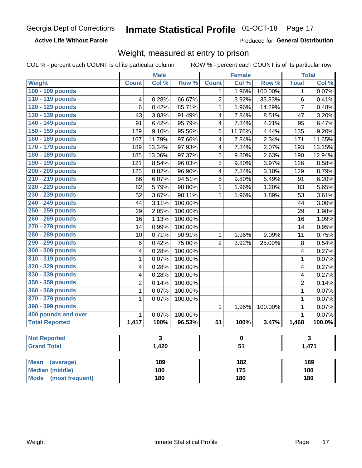### **Active Life Without Parole**

Produced for General Distribution

### Weight, measured at entry to prison

COL % - percent each COUNT is of its particular column

|                                |                | <b>Male</b> |         |                 | <b>Female</b>    |         |                | <b>Total</b> |  |
|--------------------------------|----------------|-------------|---------|-----------------|------------------|---------|----------------|--------------|--|
| <b>Weight</b>                  | <b>Count</b>   | Col %       | Row %   | <b>Count</b>    | Col %            | Row %   | <b>Total</b>   | Col %        |  |
| 100 - 109 pounds               |                |             |         | 1               | 1.96%            | 100.00% | 1              | 0.07%        |  |
| 110 - 119 pounds               | 4              | 0.28%       | 66.67%  | $\overline{2}$  | 3.92%            | 33.33%  | 6              | 0.41%        |  |
| 120 - 129 pounds               | 6              | 0.42%       | 85.71%  | $\mathbf{1}$    | 1.96%            | 14.29%  | $\overline{7}$ | 0.48%        |  |
| 130 - 139 pounds               | 43             | 3.03%       | 91.49%  | 4               | 7.84%            | 8.51%   | 47             | 3.20%        |  |
| 140 - 149 pounds               | 91             | 6.42%       | 95.79%  | 4               | 7.84%            | 4.21%   | 95             | 6.47%        |  |
| 150 - 159 pounds               | 129            | 9.10%       | 95.56%  | 6               | 11.76%           | 4.44%   | 135            | 9.20%        |  |
| 160 - 169 pounds               | 167            | 11.79%      | 97.66%  | 4               | 7.84%            | 2.34%   | 171            | 11.65%       |  |
| 170 - 179 pounds               | 189            | 13.34%      | 97.93%  | 4               | 7.84%            | 2.07%   | 193            | 13.15%       |  |
| 180 - 189 pounds               | 185            | 13.06%      | 97.37%  | 5               | 9.80%            | 2.63%   | 190            | 12.94%       |  |
| 190 - 199 pounds               | 121            | 8.54%       | 96.03%  | 5               | 9.80%            | 3.97%   | 126            | 8.58%        |  |
| 200 - 209 pounds               | 125            | 8.82%       | 96.90%  | 4               | 7.84%            | 3.10%   | 129            | 8.79%        |  |
| 210 - 219 pounds               | 86             | 6.07%       | 94.51%  | 5               | 9.80%            | 5.49%   | 91             | 6.20%        |  |
| 220 - 229 pounds               | 82             | 5.79%       | 98.80%  | $\mathbf{1}$    | 1.96%            | 1.20%   | 83             | 5.65%        |  |
| 230 - 239 pounds               | 52             | 3.67%       | 98.11%  | 1               | 1.96%            | 1.89%   | 53             | 3.61%        |  |
| 240 - 249 pounds               | 44             | 3.11%       | 100.00% |                 |                  |         | 44             | 3.00%        |  |
| 250 - 259 pounds               | 29             | 2.05%       | 100.00% |                 |                  |         | 29             | 1.98%        |  |
| 260 - 269 pounds               | 16             | 1.13%       | 100.00% |                 |                  |         | 16             | 1.09%        |  |
| 270 - 279 pounds               | 14             | 0.99%       | 100.00% |                 |                  |         | 14             | 0.95%        |  |
| 280 - 289 pounds               | 10             | 0.71%       | 90.91%  | 1               | 1.96%            | 9.09%   | 11             | 0.75%        |  |
| 290 - 299 pounds               | 6              | 0.42%       | 75.00%  | $\overline{2}$  | 3.92%            | 25.00%  | 8              | 0.54%        |  |
| 300 - 309 pounds               | 4              | 0.28%       | 100.00% |                 |                  |         | 4              | 0.27%        |  |
| 310 - 319 pounds               | 1              | 0.07%       | 100.00% |                 |                  |         | $\mathbf{1}$   | 0.07%        |  |
| 320 - 329 pounds               | 4              | 0.28%       | 100.00% |                 |                  |         | 4              | 0.27%        |  |
| 330 - 339 pounds               | 4              | 0.28%       | 100.00% |                 |                  |         | 4              | 0.27%        |  |
| 350 - 359 pounds               | $\overline{2}$ | 0.14%       | 100.00% |                 |                  |         | $\overline{2}$ | 0.14%        |  |
| 360 - 369 pounds               | 1              | 0.07%       | 100.00% |                 |                  |         | 1              | 0.07%        |  |
| 370 - 379 pounds               | 1              | 0.07%       | 100.00% |                 |                  |         | $\mathbf 1$    | 0.07%        |  |
| 390 - 399 pounds               |                |             |         | 1               | 1.96%            | 100.00% | 1              | 0.07%        |  |
| 400 pounds and over            | $\mathbf{1}$   | 0.07%       | 100.00% |                 |                  |         | $\mathbf{1}$   | 0.07%        |  |
| <b>Total Reported</b>          | 1,417          | 100%        | 96.53%  | $\overline{51}$ | 100%             | 3.47%   | 1,468          | 100.0%       |  |
|                                |                |             |         |                 |                  |         |                |              |  |
| <b>Not Reported</b>            |                | 3           |         |                 | 0                |         |                | 3            |  |
| <b>Grand Total</b>             |                | 1,420       |         | $\overline{51}$ |                  |         | 1,471          |              |  |
|                                |                |             |         |                 |                  |         |                |              |  |
| <b>Mean</b><br>(average)       |                | 189         |         |                 | $\overline{182}$ |         |                | 189          |  |
| <b>Median (middle)</b>         |                | 180         |         |                 | $\overline{175}$ |         |                | 180          |  |
| <b>Mode</b><br>(most frequent) |                | 180         |         | 180             |                  |         | 180            |              |  |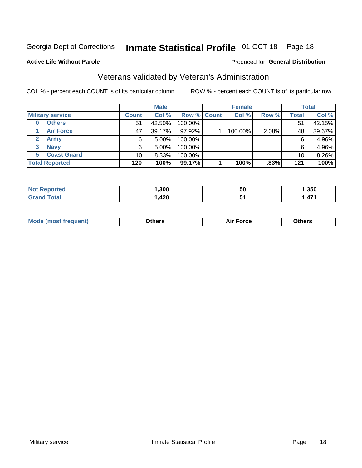## Inmate Statistical Profile 01-OCT-18 Page 18

### **Active Life Without Parole**

### Produced for General Distribution

### Veterans validated by Veteran's Administration

COL % - percent each COUNT is of its particular column

|                          |                 | <b>Male</b> |                    | <b>Female</b> |       |                 | <b>Total</b> |
|--------------------------|-----------------|-------------|--------------------|---------------|-------|-----------------|--------------|
| <b>Military service</b>  | <b>Count</b>    | Col %       | <b>Row % Count</b> | Col %         | Row % | <b>Total</b>    | Col %        |
| <b>Others</b><br>0       | 51              | 42.50%      | 100.00%            |               |       | 51              | 42.15%       |
| <b>Air Force</b>         | 47              | 39.17%      | 97.92%             | 100.00%       | 2.08% | 48              | 39.67%       |
| <b>Army</b>              | 6               | $5.00\%$    | 100.00%            |               |       | 6               | 4.96%        |
| <b>Navy</b><br>3         | 6               | $5.00\%$    | 100.00%            |               |       | 6               | 4.96%        |
| <b>Coast Guard</b><br>5. | 10 <sub>1</sub> | 8.33%       | 100.00%            |               |       | 10 <sub>1</sub> | 8.26%        |
| <b>Total Reported</b>    | 120             | 100%        | 99.17%             | 100%          | .83%  | 121             | 100%         |

| тес          | ,300 | <b>50</b>   | .350     |
|--------------|------|-------------|----------|
| <b>Total</b> | ,420 | ◡<br>$\sim$ | 171<br>. |

| Mo<br>m | ∖‡h∧rc<br>____ | $-0.002$<br>28 F T<br>UI CE | <b>Others</b><br>____ |
|---------|----------------|-----------------------------|-----------------------|
|         |                |                             |                       |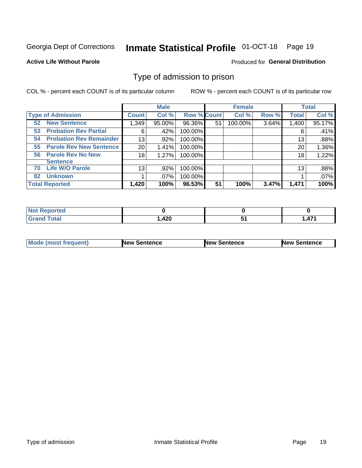#### **Inmate Statistical Profile 01-OCT-18** Page 19

### **Active Life Without Parole**

### Produced for General Distribution

### Type of admission to prison

COL % - percent each COUNT is of its particular column

|                                      |                 | <b>Male</b> |                    |    | <b>Female</b> |       |              | <b>Total</b> |
|--------------------------------------|-----------------|-------------|--------------------|----|---------------|-------|--------------|--------------|
| <b>Type of Admission</b>             | <b>Count</b>    | Col %       | <b>Row % Count</b> |    | Col %         | Row % | <b>Total</b> | Col %        |
| <b>New Sentence</b><br>52            | 1,349           | 95.00%      | 96.36%             | 51 | 100.00%       | 3.64% | 1,400        | 95.17%       |
| <b>Probation Rev Partial</b><br>53   | 6               | .42%        | 100.00%            |    |               |       | 6            | .41%         |
| <b>Probation Rev Remainder</b><br>54 | 13              | .92%        | 100.00%            |    |               |       | 13           | .88%         |
| <b>Parole Rev New Sentence</b><br>55 | 20 <sub>1</sub> | 1.41%       | 100.00%            |    |               |       | 20           | 1.36%        |
| <b>Parole Rev No New</b><br>56       | 18              | 1.27%       | 100.00%            |    |               |       | 18           | 1.22%        |
| <b>Sentence</b>                      |                 |             |                    |    |               |       |              |              |
| <b>Life W/O Parole</b><br>70         | 13              | .92%        | 100.00%            |    |               |       | 13           | .88%         |
| <b>Unknown</b><br>82                 |                 | .07%        | 100.00%            |    |               |       |              | .07%         |
| <b>Total Reported</b>                | 1,420           | 100%        | 96.53%             | 51 | 100%          | 3.47% | 1,471        | 100%         |

| <b>Not Reported</b> |      |          |
|---------------------|------|----------|
| <b>Grand Total</b>  | ,420 | A74<br>. |

| Mode (most frequent) | <b>New Sentence</b> | <b>New Sentence</b> | <b>New Sentence</b> |
|----------------------|---------------------|---------------------|---------------------|
|                      |                     |                     |                     |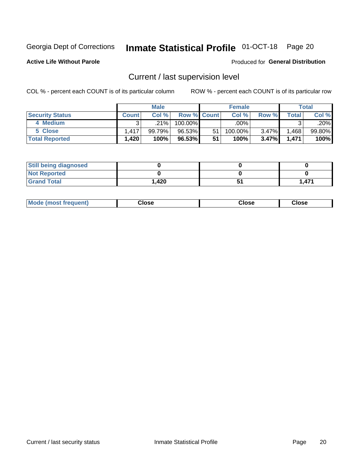## Inmate Statistical Profile 01-OCT-18 Page 20

**Active Life Without Parole** 

### Produced for General Distribution

## Current / last supervision level

COL % - percent each COUNT is of its particular column

|                        |              | <b>Male</b> |                    |    | <b>Female</b> |          |       | <b>Total</b> |
|------------------------|--------------|-------------|--------------------|----|---------------|----------|-------|--------------|
| <b>Security Status</b> | <b>Count</b> | Col%        | <b>Row % Count</b> |    | Col %         | Row %    | Total | Col %        |
| 4 Medium               | ົ            | $.21\%$     | 100.00%            |    | .00%          |          |       | .20%         |
| 5 Close                | 1.417        | 99.79%      | 96.53%             | 51 | 100.00%       | 3.47%    | .468  | 99.80%       |
| <b>Total Reported</b>  | 1,420        | 100%        | 96.53%             | 51 | 100%          | $3.47\%$ | 1.471 | 100%         |

| <b>Still being diagnosed</b> |       |       |
|------------------------------|-------|-------|
| <b>Not Reported</b>          |       |       |
| <b>Grand Total</b>           | 1,420 | 1.471 |

| <b>Mode (most frequent)</b> | Close | ∵lose | Close |
|-----------------------------|-------|-------|-------|
|                             |       |       |       |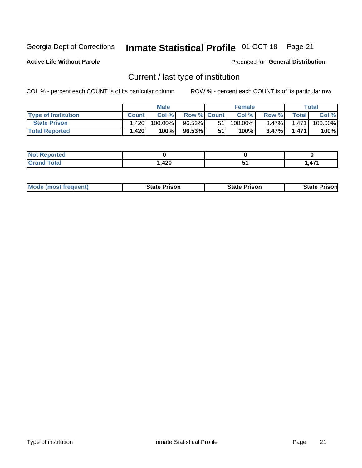## Inmate Statistical Profile 01-OCT-18 Page 21

**Active Life Without Parole** 

Produced for General Distribution

## Current / last type of institution

COL % - percent each COUNT is of its particular column

|                            |              | <b>Male</b> |                    |    | <b>Female</b> |          |              | <b>Total</b> |
|----------------------------|--------------|-------------|--------------------|----|---------------|----------|--------------|--------------|
| <b>Type of Institution</b> | <b>Count</b> | Col%        | <b>Row % Count</b> |    | Col %         | Row %    | <b>Total</b> | Col %        |
| <b>State Prison</b>        | ا 420. ا     | $100.00\%$  | 96.53%             | 51 | $100.00\%$    | $3.47\%$ | 1.471        | 100.00%      |
| <b>Total Reported</b>      | 1,420        | 100%        | $96.53\%$          | 51 | $100\%$ ,     | $3.47\%$ | 1.471        | 100%         |

| N<br>τeα             |                 |        |                   |
|----------------------|-----------------|--------|-------------------|
| $\sim$ $\sim$ $\sim$ | $\Delta$<br>TŁV | $\sim$ | A74<br>- <b>.</b> |

|  | <b>Mode (most frequent)</b> | State Prison | <b>State Prison</b> | <b>State Prison</b> |
|--|-----------------------------|--------------|---------------------|---------------------|
|--|-----------------------------|--------------|---------------------|---------------------|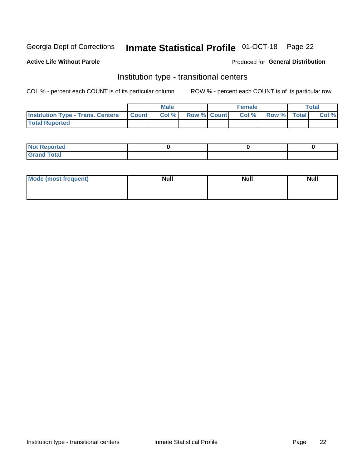## Inmate Statistical Profile 01-OCT-18 Page 22

### **Active Life Without Parole**

### Produced for General Distribution

### Institution type - transitional centers

COL % - percent each COUNT is of its particular column

|                                                  | <b>Male</b> |                    | <b>Female</b> |             | Total |
|--------------------------------------------------|-------------|--------------------|---------------|-------------|-------|
| <b>Institution Type - Trans. Centers Count  </b> | Col%        | <b>Row % Count</b> | Col %         | Row % Total | Col % |
| <b>Total Reported</b>                            |             |                    |               |             |       |

| <b>Reported</b><br><b>NOT</b><br>$\sim$            |  |  |
|----------------------------------------------------|--|--|
| $f$ $f \circ f \circ f$<br>$C = 1$<br><b>TULAI</b> |  |  |

| Mode (most frequent) | <b>Null</b> | <b>Null</b> | <b>Null</b> |
|----------------------|-------------|-------------|-------------|
|                      |             |             |             |
|                      |             |             |             |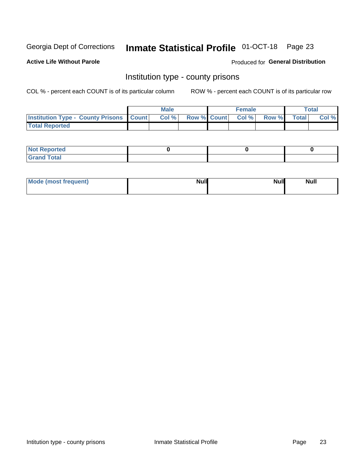## Inmate Statistical Profile 01-OCT-18 Page 23

**Active Life Without Parole** 

Produced for General Distribution

### Institution type - county prisons

COL % - percent each COUNT is of its particular column

|                                                    | <b>Male</b> |       |  | <b>Female</b> |                          |             | <b>Total</b> |       |  |
|----------------------------------------------------|-------------|-------|--|---------------|--------------------------|-------------|--------------|-------|--|
| <b>Institution Type - County Prisons   Count  </b> |             | Col % |  |               | <b>Row % Count Col %</b> | Row % Total |              | Col % |  |
| <b>Total Reported</b>                              |             |       |  |               |                          |             |              |       |  |

| <b>Not Reported</b>   |  |  |
|-----------------------|--|--|
| <b>Total</b><br>Granc |  |  |

| Mode (most frequent) | <b>Null</b> | <b>Null</b><br><b>Null</b> |
|----------------------|-------------|----------------------------|
|                      |             |                            |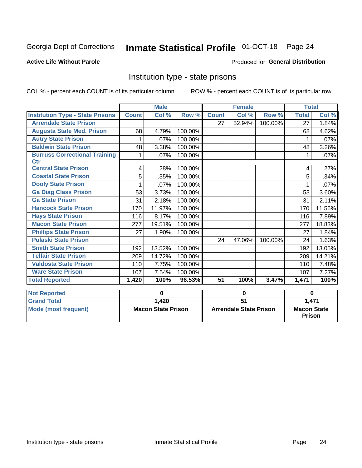## Inmate Statistical Profile 01-OCT-18 Page 24

### **Active Life Without Parole**

### Produced for General Distribution

### Institution type - state prisons

COL % - percent each COUNT is of its particular column

|                                                    | <b>Male</b>               |        |             |                               | <b>Female</b> |          | <b>Total</b>                        |                            |
|----------------------------------------------------|---------------------------|--------|-------------|-------------------------------|---------------|----------|-------------------------------------|----------------------------|
| <b>Institution Type - State Prisons</b>            | <b>Count</b>              | Col %  | Row %       | <b>Count</b>                  | Col %         | Row %    | <b>Total</b>                        | $\overline{\text{Col }\%}$ |
| <b>Arrendale State Prison</b>                      |                           |        |             | 27                            | 52.94%        | 100.00%  | $\overline{27}$                     | 1.84%                      |
| <b>Augusta State Med. Prison</b>                   | 68                        | 4.79%  | 100.00%     |                               |               |          | 68                                  | 4.62%                      |
| <b>Autry State Prison</b>                          | 1                         | .07%   | 100.00%     |                               |               |          |                                     | .07%                       |
| <b>Baldwin State Prison</b>                        | 48                        | 3.38%  | 100.00%     |                               |               |          | 48                                  | 3.26%                      |
| <b>Burruss Correctional Training</b><br><b>Ctr</b> | 1                         | .07%   | 100.00%     |                               |               |          | 1                                   | .07%                       |
| <b>Central State Prison</b>                        | 4                         | .28%   | 100.00%     |                               |               |          | 4                                   | .27%                       |
| <b>Coastal State Prison</b>                        | 5                         | .35%   | 100.00%     |                               |               |          | 5                                   | .34%                       |
| <b>Dooly State Prison</b>                          | 1                         | .07%   | 100.00%     |                               |               |          |                                     | .07%                       |
| <b>Ga Diag Class Prison</b>                        | 53                        | 3.73%  | 100.00%     |                               |               |          | 53                                  | 3.60%                      |
| <b>Ga State Prison</b>                             | 31                        | 2.18%  | 100.00%     |                               |               |          | 31                                  | 2.11%                      |
| <b>Hancock State Prison</b>                        | 170                       | 11.97% | 100.00%     |                               |               |          | 170                                 | 11.56%                     |
| <b>Hays State Prison</b>                           | 116                       | 8.17%  | 100.00%     |                               |               |          | 116                                 | 7.89%                      |
| <b>Macon State Prison</b>                          | 277                       | 19.51% | 100.00%     |                               |               |          | 277                                 | 18.83%                     |
| <b>Phillips State Prison</b>                       | 27                        | 1.90%  | 100.00%     |                               |               |          | 27                                  | 1.84%                      |
| <b>Pulaski State Prison</b>                        |                           |        |             | 24                            | 47.06%        | 100.00%  | 24                                  | 1.63%                      |
| <b>Smith State Prison</b>                          | 192                       | 13.52% | 100.00%     |                               |               |          | 192                                 | 13.05%                     |
| <b>Telfair State Prison</b>                        | 209                       | 14.72% | 100.00%     |                               |               |          | 209                                 | 14.21%                     |
| <b>Valdosta State Prison</b>                       | 110                       | 7.75%  | 100.00%     |                               |               |          | 110                                 | 7.48%                      |
| <b>Ware State Prison</b>                           | 107                       | 7.54%  | 100.00%     |                               |               |          | 107                                 | 7.27%                      |
| <b>Total Reported</b>                              | 1,420                     | 100%   | 96.53%      | $\overline{51}$               | 100%          | 3.47%    | 1,471                               | 100%                       |
| <b>Not Reported</b>                                | $\bf{0}$                  |        | $\mathbf 0$ |                               |               | $\bf{0}$ |                                     |                            |
| <b>Grand Total</b>                                 |                           | 1,420  |             | $\overline{51}$               |               |          | 1,471                               |                            |
| <b>Mode (most frequent)</b>                        | <b>Macon State Prison</b> |        |             | <b>Arrendale State Prison</b> |               |          | <b>Macon State</b><br><b>Prison</b> |                            |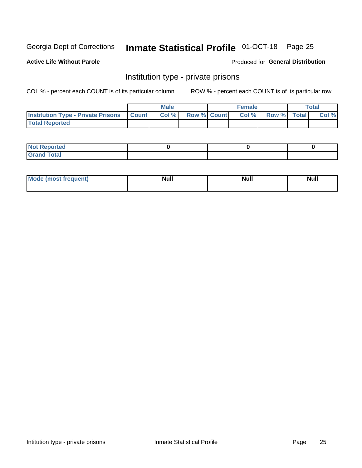## Inmate Statistical Profile 01-OCT-18 Page 25

### **Active Life Without Parole**

### Produced for General Distribution

### Institution type - private prisons

COL % - percent each COUNT is of its particular column

|                                                     | <b>Male</b> |       |                    | <b>Female</b> |       |             | Total |       |
|-----------------------------------------------------|-------------|-------|--------------------|---------------|-------|-------------|-------|-------|
| <b>Institution Type - Private Prisons   Count  </b> |             | Col % | <b>Row % Count</b> |               | Col % | Row % Total |       | Col % |
| <b>Total Reported</b>                               |             |       |                    |               |       |             |       |       |

| Not Reported          |  |  |
|-----------------------|--|--|
| <b>Cotal</b><br>_____ |  |  |

| <b>Mo</b><br>frequent) | <b>Null</b> | <b>Null</b> | . . I *<br><b>IVUII</b> |
|------------------------|-------------|-------------|-------------------------|
|                        |             |             |                         |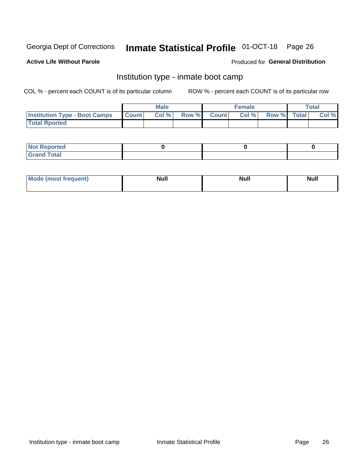## Inmate Statistical Profile 01-OCT-18 Page 26

### **Active Life Without Parole**

### Produced for General Distribution

### Institution type - inmate boot camp

COL % - percent each COUNT is of its particular column

|                                      | <b>Male</b>  |       |               |              | <b>Female</b> | <b>Total</b> |  |       |
|--------------------------------------|--------------|-------|---------------|--------------|---------------|--------------|--|-------|
| <b>Institution Type - Boot Camps</b> | <b>Count</b> | Col % | <b>Row %I</b> | <b>Count</b> | Col %         | Row % Total  |  | Col % |
| <b>Total Rported</b>                 |              |       |               |              |               |              |  |       |

| <b>Not Reported</b>            |  |  |
|--------------------------------|--|--|
| <b>Total</b><br>C <sub>r</sub> |  |  |

| Mod<br>uamo | Nul.<br>$- - - - - -$ | <b>Null</b> | <br>uu.<br>------ |
|-------------|-----------------------|-------------|-------------------|
|             |                       |             |                   |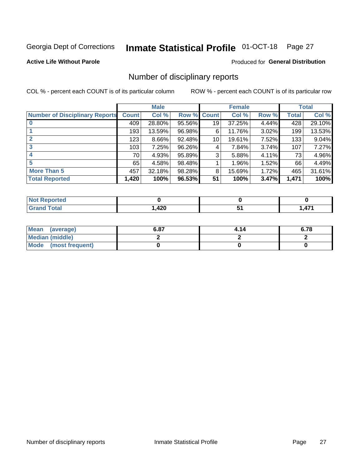## Inmate Statistical Profile 01-OCT-18 Page 27

### **Active Life Without Parole**

### Produced for General Distribution

### Number of disciplinary reports

COL % - percent each COUNT is of its particular column

|                                       | <b>Male</b>  |          |        | <b>Female</b> |        |       | <b>Total</b> |        |
|---------------------------------------|--------------|----------|--------|---------------|--------|-------|--------------|--------|
| <b>Number of Disciplinary Reports</b> | <b>Count</b> | Col %    | Row %  | <b>Count</b>  | Col %  | Row % | <b>Total</b> | Col %  |
|                                       | 409          | 28.80%   | 95.56% | 19            | 37.25% | 4.44% | 428          | 29.10% |
|                                       | 193          | 13.59%   | 96.98% | 6             | 11.76% | 3.02% | 199          | 13.53% |
| 2                                     | 123          | $8.66\%$ | 92.48% | 10            | 19.61% | 7.52% | 133          | 9.04%  |
| 3                                     | 103          | 7.25%    | 96.26% | 4             | 7.84%  | 3.74% | 107          | 7.27%  |
|                                       | 70           | 4.93%    | 95.89% | 3             | 5.88%  | 4.11% | 73           | 4.96%  |
| 5                                     | 65           | 4.58%    | 98.48% |               | 1.96%  | 1.52% | 66           | 4.49%  |
| <b>More Than 5</b>                    | 457          | 32.18%   | 98.28% | 8             | 15.69% | 1.72% | 465          | 31.61% |
| <b>Total Reported</b>                 | 1,420        | 100%     | 96.53% | 51            | 100%   | 3.47% | 1,471        | 100%   |

| ted<br>NO    |      |          |
|--------------|------|----------|
| <b>Total</b> | ,420 | 474<br>Æ |

| Mean (average)         | 6.87 | 4.14 | 6.78 |
|------------------------|------|------|------|
| <b>Median (middle)</b> |      |      |      |
| Mode (most frequent)   |      |      |      |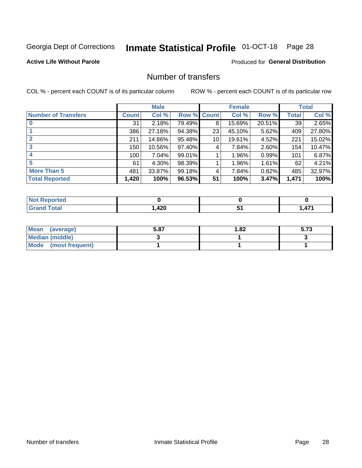## Inmate Statistical Profile 01-OCT-18 Page 28

### **Active Life Without Parole**

### **Produced for General Distribution**

### Number of transfers

COL % - percent each COUNT is of its particular column

|                            |         | <b>Male</b> |        | <b>Female</b> |        |          | <b>Total</b> |        |
|----------------------------|---------|-------------|--------|---------------|--------|----------|--------------|--------|
| <b>Number of Transfers</b> | Count l | Col %       | Row %  | <b>Count</b>  | Col %  | Row %    | <b>Total</b> | Col %  |
|                            | 31      | 2.18%       | 79.49% | 8             | 15.69% | 20.51%   | 39           | 2.65%  |
|                            | 386     | 27.18%      | 94.38% | 23            | 45.10% | 5.62%    | 409          | 27.80% |
| 2                          | 211     | 14.86%      | 95.48% | 10            | 19.61% | 4.52%    | 221          | 15.02% |
| 3                          | 150     | 10.56%      | 97.40% | 4             | 7.84%  | $2.60\%$ | 154          | 10.47% |
|                            | 100     | 7.04%       | 99.01% |               | 1.96%  | 0.99%    | 101          | 6.87%  |
| 5                          | 61      | $4.30\%$    | 98.39% |               | 1.96%  | $1.61\%$ | 62           | 4.21%  |
| <b>More Than 5</b>         | 481     | 33.87%      | 99.18% | 4             | 7.84%  | 0.82%    | 485          | 32.97% |
| <b>Total Reported</b>      | 1,420   | 100%        | 96.53% | 51            | 100%   | 3.47%    | 1,471        | 100%   |

| Reported<br>NOT I |      |            |
|-------------------|------|------------|
| 「otal             | ,420 | A74<br>. . |

| Mean (average)       | 5.87 | 1.82 | 5.73 |
|----------------------|------|------|------|
| Median (middle)      |      |      |      |
| Mode (most frequent) |      |      |      |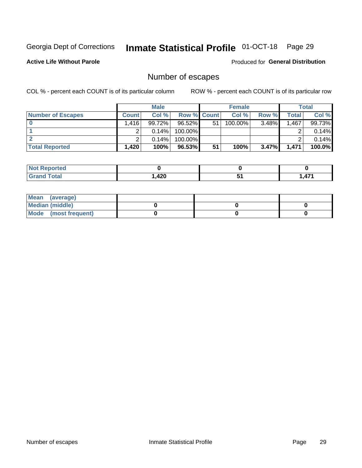## Inmate Statistical Profile 01-OCT-18 Page 29

**Active Life Without Parole** 

**Produced for General Distribution** 

## Number of escapes

COL % - percent each COUNT is of its particular column

|                          |              | <b>Male</b> |                    |    | <b>Female</b> |          |       | <b>Total</b> |
|--------------------------|--------------|-------------|--------------------|----|---------------|----------|-------|--------------|
| <b>Number of Escapes</b> | <b>Count</b> | Col%        | <b>Row % Count</b> |    | Col %         | Row %    | Total | Col %        |
|                          | .416         | 99.72%      | 96.52%             | 51 | 100.00%       | 3.48%    | 1,467 | 99.73%       |
|                          |              | $0.14\%$    | 100.00%            |    |               |          |       | 0.14%        |
|                          |              | 0.14%       | 100.00%            |    |               |          |       | 0.14%        |
| <b>Total Reported</b>    | ا 420.       | 100%        | 96.53%             | 51 | 100%          | $3.47\%$ | 1,471 | 100.0%       |

| rtea<br><b>NOT</b><br>$\cdots$ |       |                           |
|--------------------------------|-------|---------------------------|
| <b>Total</b><br>Grand          | 1,420 | $\rightarrow$<br>Æ<br>. . |

| Mean (average)         |  |  |
|------------------------|--|--|
| <b>Median (middle)</b> |  |  |
| Mode (most frequent)   |  |  |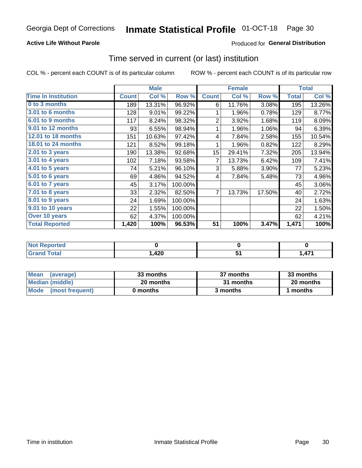### **Active Life Without Parole**

### Produced for General Distribution

### Time served in current (or last) institution

COL % - percent each COUNT is of its particular column

|                            |              | <b>Male</b> |         |                  | <b>Female</b> | <b>Total</b> |              |        |
|----------------------------|--------------|-------------|---------|------------------|---------------|--------------|--------------|--------|
| <b>Time In Institution</b> | <b>Count</b> | Col %       | Row %   | <b>Count</b>     | Col %         | Row %        | <b>Total</b> | Col %  |
| 0 to 3 months              | 189          | 13.31%      | 96.92%  | 6                | 11.76%        | 3.08%        | 195          | 13.26% |
| <b>3.01 to 6 months</b>    | 128          | 9.01%       | 99.22%  | 1                | 1.96%         | 0.78%        | 129          | 8.77%  |
| 6.01 to 9 months           | 117          | 8.24%       | 98.32%  | $\overline{2}$   | 3.92%         | 1.68%        | 119          | 8.09%  |
| 9.01 to 12 months          | 93           | 6.55%       | 98.94%  | 1                | 1.96%         | 1.06%        | 94           | 6.39%  |
| <b>12.01 to 18 months</b>  | 151          | 10.63%      | 97.42%  | 4                | 7.84%         | 2.58%        | 155          | 10.54% |
| <b>18.01 to 24 months</b>  | 121          | 8.52%       | 99.18%  | 1                | 1.96%         | 0.82%        | 122          | 8.29%  |
| $2.01$ to 3 years          | 190          | 13.38%      | 92.68%  | 15 <sub>15</sub> | 29.41%        | 7.32%        | 205          | 13.94% |
| 3.01 to 4 years            | 102          | 7.18%       | 93.58%  | 7                | 13.73%        | 6.42%        | 109          | 7.41%  |
| $4.01$ to 5 years          | 74           | 5.21%       | 96.10%  | 3                | 5.88%         | 3.90%        | 77           | 5.23%  |
| 5.01 to 6 years            | 69           | 4.86%       | 94.52%  | 4                | 7.84%         | 5.48%        | 73           | 4.96%  |
| 6.01 to 7 years            | 45           | 3.17%       | 100.00% |                  |               |              | 45           | 3.06%  |
| 7.01 to 8 years            | 33           | 2.32%       | 82.50%  | 7                | 13.73%        | 17.50%       | 40           | 2.72%  |
| 8.01 to 9 years            | 24           | 1.69%       | 100.00% |                  |               |              | 24           | 1.63%  |
| 9.01 to 10 years           | 22           | 1.55%       | 100.00% |                  |               |              | 22           | 1.50%  |
| Over 10 years              | 62           | 4.37%       | 100.00% |                  |               |              | 62           | 4.21%  |
| <b>Total Reported</b>      | 1,420        | 100%        | 96.53%  | 51               | 100%          | 3.47%        | 1,471        | 100%   |

| Reported<br><b>NOT</b> |             |     |
|------------------------|-------------|-----|
| <i>i</i> otal          | れつの<br>44 U | A74 |

| <b>Mean</b><br>(average) | 33 months | 37 months | 33 months |
|--------------------------|-----------|-----------|-----------|
| Median (middle)          | 20 months | 31 months | 20 months |
| Mode (most frequent)     | 0 months  | 3 months  | ∣ months  |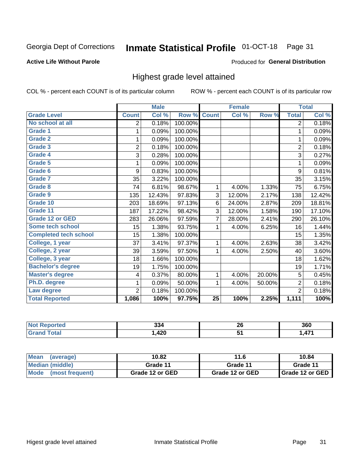#### **Inmate Statistical Profile 01-OCT-18** Page 31

### **Active Life Without Parole**

### Produced for General Distribution

### Highest grade level attained

COL % - percent each COUNT is of its particular column

|                              |                | <b>Male</b> |         |                 | <b>Female</b> |        |                | <b>Total</b> |
|------------------------------|----------------|-------------|---------|-----------------|---------------|--------|----------------|--------------|
| <b>Grade Level</b>           | <b>Count</b>   | Col %       | Row %   | <b>Count</b>    | Col %         | Row %  | <b>Total</b>   | Col %        |
| No school at all             | 2              | 0.18%       | 100.00% |                 |               |        | $\overline{2}$ | 0.18%        |
| <b>Grade 1</b>               | 1              | 0.09%       | 100.00% |                 |               |        | 1              | 0.09%        |
| <b>Grade 2</b>               | 1              | 0.09%       | 100.00% |                 |               |        | 1              | 0.09%        |
| Grade 3                      | $\overline{2}$ | 0.18%       | 100.00% |                 |               |        | $\overline{2}$ | 0.18%        |
| <b>Grade 4</b>               | 3              | 0.28%       | 100.00% |                 |               |        | 3              | 0.27%        |
| Grade 5                      | 1              | 0.09%       | 100.00% |                 |               |        | 1              | 0.09%        |
| Grade 6                      | 9              | 0.83%       | 100.00% |                 |               |        | 9              | 0.81%        |
| Grade 7                      | 35             | 3.22%       | 100.00% |                 |               |        | 35             | 3.15%        |
| Grade 8                      | 74             | 6.81%       | 98.67%  | 1               | 4.00%         | 1.33%  | 75             | 6.75%        |
| Grade 9                      | 135            | 12.43%      | 97.83%  | 3               | 12.00%        | 2.17%  | 138            | 12.42%       |
| Grade 10                     | 203            | 18.69%      | 97.13%  | 6               | 24.00%        | 2.87%  | 209            | 18.81%       |
| Grade 11                     | 187            | 17.22%      | 98.42%  | 3               | 12.00%        | 1.58%  | 190            | 17.10%       |
| <b>Grade 12 or GED</b>       | 283            | 26.06%      | 97.59%  | 7               | 28.00%        | 2.41%  | 290            | 26.10%       |
| Some tech school             | 15             | 1.38%       | 93.75%  | 1               | 4.00%         | 6.25%  | 16             | 1.44%        |
| <b>Completed tech school</b> | 15             | 1.38%       | 100.00% |                 |               |        | 15             | 1.35%        |
| College, 1 year              | 37             | 3.41%       | 97.37%  | 1               | 4.00%         | 2.63%  | 38             | 3.42%        |
| College, 2 year              | 39             | 3.59%       | 97.50%  | 1               | 4.00%         | 2.50%  | 40             | 3.60%        |
| College, 3 year              | 18             | 1.66%       | 100.00% |                 |               |        | 18             | 1.62%        |
| <b>Bachelor's degree</b>     | 19             | 1.75%       | 100.00% |                 |               |        | 19             | 1.71%        |
| <b>Master's degree</b>       | 4              | 0.37%       | 80.00%  | 1               | 4.00%         | 20.00% | 5              | 0.45%        |
| Ph.D. degree                 | 1              | 0.09%       | 50.00%  | 1               | 4.00%         | 50.00% | $\overline{2}$ | 0.18%        |
| Law degree                   | $\overline{2}$ | 0.18%       | 100.00% |                 |               |        | $\overline{2}$ | 0.18%        |
| <b>Total Reported</b>        | 1,086          | 100%        | 97.75%  | $\overline{25}$ | 100%          | 2.25%  | 1,111          | 100%         |

| orted | 334 | ne.<br>ZV | 360           |
|-------|-----|-----------|---------------|
| otal  | 420 |           | $\rightarrow$ |

| <b>Mean</b><br>(average) | 10.82           | 11.6            | 10.84           |  |
|--------------------------|-----------------|-----------------|-----------------|--|
| Median (middle)          | Grade 11        | Grade 11        | Grade 11        |  |
| Mode<br>(most frequent)  | Grade 12 or GED | Grade 12 or GED | Grade 12 or GED |  |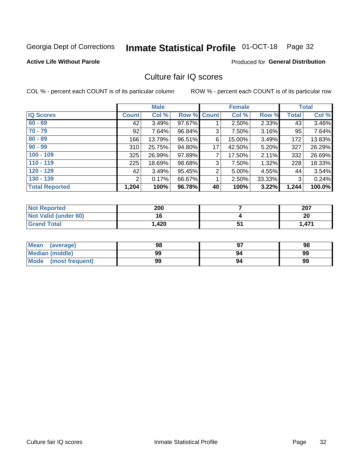#### Inmate Statistical Profile 01-OCT-18 Page 32

### **Active Life Without Parole**

### Produced for General Distribution

### Culture fair IQ scores

COL % - percent each COUNT is of its particular column

|                       | <b>Male</b>  |        | <b>Female</b>      |                |          | <b>Total</b> |              |        |
|-----------------------|--------------|--------|--------------------|----------------|----------|--------------|--------------|--------|
| <b>IQ Scores</b>      | <b>Count</b> | Col %  | <b>Row % Count</b> |                | Col %    | Row %        | <b>Total</b> | Col %  |
| $60 - 69$             | 42           | 3.49%  | 97.67%             |                | $2.50\%$ | 2.33%        | 43           | 3.46%  |
| $70 - 79$             | 92           | 7.64%  | 96.84%             | 3              | 7.50%    | 3.16%        | 95           | 7.64%  |
| $80 - 89$             | 166          | 13.79% | 96.51%             | 6              | 15.00%   | 3.49%        | 172          | 13.83% |
| $90 - 99$             | 310          | 25.75% | 94.80%             | 17             | 42.50%   | $5.20\%$     | 327          | 26.29% |
| $100 - 109$           | 325          | 26.99% | 97.89%             | 7              | 17.50%   | 2.11%        | 332          | 26.69% |
| $110 - 119$           | 225          | 18.69% | 98.68%             | 3              | 7.50%    | 1.32%        | 228          | 18.33% |
| $120 - 129$           | 42           | 3.49%  | 95.45%             | $\overline{2}$ | 5.00%    | 4.55%        | 44           | 3.54%  |
| $130 - 139$           | 2            | 0.17%  | 66.67%             | 1              | 2.50%    | 33.33%       | 3            | 0.24%  |
| <b>Total Reported</b> | 1,204        | 100%   | 96.78%             | 40             | 100%     | 3.22%        | 1,244        | 100.0% |

| <b>Not Reported</b>         | 200   |    | 207   |
|-----------------------------|-------|----|-------|
| <b>Not Valid (under 60)</b> | A C   |    | 20    |
| <b>Grand Total</b>          | 1,420 | J. | 1,471 |

| Mean<br>(average)    | 98 |    | 98 |
|----------------------|----|----|----|
| Median (middle)      | 99 | 94 | 99 |
| Mode (most frequent) | 99 | 94 | 99 |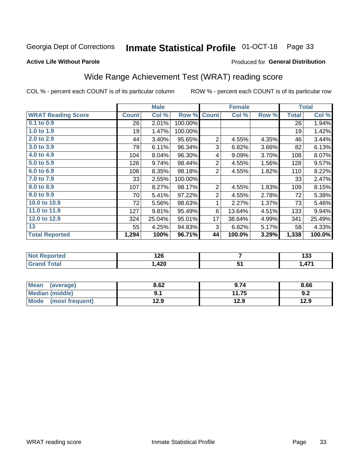#### **Inmate Statistical Profile 01-OCT-18** Page 33

### **Active Life Without Parole**

### Produced for General Distribution

## Wide Range Achievement Test (WRAT) reading score

COL % - percent each COUNT is of its particular column

|                           |              | <b>Male</b> |         | <b>Female</b>  |        |       | <b>Total</b> |        |
|---------------------------|--------------|-------------|---------|----------------|--------|-------|--------------|--------|
| <b>WRAT Reading Score</b> | <b>Count</b> | Col %       | Row %   | <b>Count</b>   | Col %  | Row % | <b>Total</b> | Col %  |
| $0.1$ to $0.9$            | 26           | 2.01%       | 100.00% |                |        |       | 26           | 1.94%  |
| 1.0 to 1.9                | 19           | 1.47%       | 100.00% |                |        |       | 19           | 1.42%  |
| 2.0 to 2.9                | 44           | 3.40%       | 95.65%  | $\overline{2}$ | 4.55%  | 4.35% | 46           | 3.44%  |
| 3.0 to 3.9                | 79           | 6.11%       | 96.34%  | 3              | 6.82%  | 3.66% | 82           | 6.13%  |
| 4.0 to 4.9                | 104          | $8.04\%$    | 96.30%  | 4              | 9.09%  | 3.70% | 108          | 8.07%  |
| 5.0 to 5.9                | 126          | 9.74%       | 98.44%  | $\overline{2}$ | 4.55%  | 1.56% | 128          | 9.57%  |
| 6.0 to 6.9                | 108          | 8.35%       | 98.18%  | $\overline{2}$ | 4.55%  | 1.82% | 110          | 8.22%  |
| 7.0 to 7.9                | 33           | 2.55%       | 100.00% |                |        |       | 33           | 2.47%  |
| 8.0 to 8.9                | 107          | 8.27%       | 98.17%  | $\overline{2}$ | 4.55%  | 1.83% | 109          | 8.15%  |
| 9.0 to 9.9                | 70           | 5.41%       | 97.22%  | $\overline{2}$ | 4.55%  | 2.78% | 72           | 5.38%  |
| 10.0 to 10.9              | 72           | 5.56%       | 98.63%  | 1              | 2.27%  | 1.37% | 73           | 5.46%  |
| 11.0 to 11.9              | 127          | 9.81%       | 95.49%  | 6              | 13.64% | 4.51% | 133          | 9.94%  |
| 12.0 to 12.9              | 324          | 25.04%      | 95.01%  | 17             | 38.64% | 4.99% | 341          | 25.49% |
| 13                        | 55           | 4.25%       | 94.83%  | 3              | 6.82%  | 5.17% | 58           | 4.33%  |
| <b>Total Reported</b>     | 1,294        | 100%        | 96.71%  | 44             | 100.0% | 3.29% | 1,338        | 100.0% |
|                           |              |             |         |                |        |       |              |        |

| <b>Not Reported</b>    | 126  |   | ,<br>טט ו |
|------------------------|------|---|-----------|
| <b>Total</b><br>'Grand | ,420 | ັ | 1,471     |

| Mean<br>(average)       | 8.62 | 9.74  | 8.66 |
|-------------------------|------|-------|------|
| <b>Median (middle)</b>  |      | 11.75 | 9.2  |
| Mode<br>(most frequent) | 12.9 | 12.9  | 12.9 |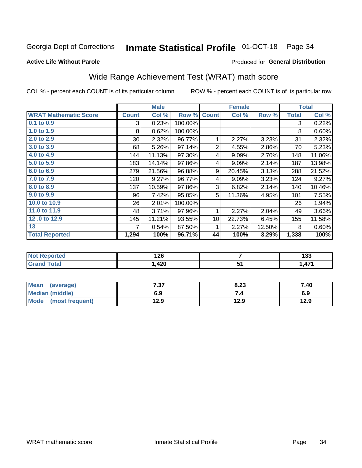#### **Inmate Statistical Profile 01-OCT-18** Page 34

### **Active Life Without Parole**

### **Produced for General Distribution**

## Wide Range Achievement Test (WRAT) math score

COL % - percent each COUNT is of its particular column

|                              |              | <b>Male</b> |         | <b>Female</b>   |        |        | <b>Total</b> |        |
|------------------------------|--------------|-------------|---------|-----------------|--------|--------|--------------|--------|
| <b>WRAT Mathematic Score</b> | <b>Count</b> | Col %       | Row %   | <b>Count</b>    | Col %  | Row %  | <b>Total</b> | Col %  |
| $0.1$ to $0.9$               | 3            | 0.23%       | 100.00% |                 |        |        | 3            | 0.22%  |
| 1.0 to 1.9                   | 8            | 0.62%       | 100.00% |                 |        |        | 8            | 0.60%  |
| 2.0 to 2.9                   | 30           | 2.32%       | 96.77%  | 1               | 2.27%  | 3.23%  | 31           | 2.32%  |
| 3.0 to 3.9                   | 68           | 5.26%       | 97.14%  | $\overline{2}$  | 4.55%  | 2.86%  | 70           | 5.23%  |
| 4.0 to 4.9                   | 144          | 11.13%      | 97.30%  | 4               | 9.09%  | 2.70%  | 148          | 11.06% |
| 5.0 to 5.9                   | 183          | 14.14%      | 97.86%  | 4               | 9.09%  | 2.14%  | 187          | 13.98% |
| 6.0 to 6.9                   | 279          | 21.56%      | 96.88%  | 9               | 20.45% | 3.13%  | 288          | 21.52% |
| 7.0 to 7.9                   | 120          | 9.27%       | 96.77%  | 4               | 9.09%  | 3.23%  | 124          | 9.27%  |
| 8.0 to 8.9                   | 137          | 10.59%      | 97.86%  | 3               | 6.82%  | 2.14%  | 140          | 10.46% |
| 9.0 to 9.9                   | 96           | 7.42%       | 95.05%  | 5               | 11.36% | 4.95%  | 101          | 7.55%  |
| 10.0 to 10.9                 | 26           | 2.01%       | 100.00% |                 |        |        | 26           | 1.94%  |
| 11.0 to 11.9                 | 48           | 3.71%       | 97.96%  | 1               | 2.27%  | 2.04%  | 49           | 3.66%  |
| 12.0 to 12.9                 | 145          | 11.21%      | 93.55%  | 10 <sup>1</sup> | 22.73% | 6.45%  | 155          | 11.58% |
| 13                           | 7            | 0.54%       | 87.50%  | 1               | 2.27%  | 12.50% | 8            | 0.60%  |
| <b>Total Reported</b>        | 1,294        | 100%        | 96.71%  | 44              | 100%   | 3.29%  | 1,338        | 100%   |
|                              |              |             |         |                 |        |        |              |        |

| <b>Not Reported</b>    | 126  |   | ,<br>טט ו |
|------------------------|------|---|-----------|
| <b>Total</b><br>'Grand | ,420 | ັ | 1,471     |

| <b>Mean</b><br>(average) | 7.37 | 8.23 | 7.40 |
|--------------------------|------|------|------|
| <b>Median (middle)</b>   | 6.9  |      | 6.9  |
| Mode (most frequent)     | 12.9 | 12.9 | 12.9 |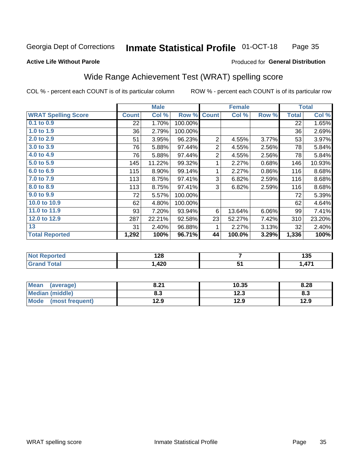#### **Inmate Statistical Profile 01-OCT-18** Page 35

### **Active Life Without Parole**

### Produced for General Distribution

### Wide Range Achievement Test (WRAT) spelling score

COL % - percent each COUNT is of its particular column

|                            |              | <b>Male</b> |         | <b>Female</b>  |        |       | <b>Total</b> |        |
|----------------------------|--------------|-------------|---------|----------------|--------|-------|--------------|--------|
| <b>WRAT Spelling Score</b> | <b>Count</b> | Col %       | Row %   | <b>Count</b>   | Col %  | Row % | <b>Total</b> | Col %  |
| 0.1 to 0.9                 | 22           | 1.70%       | 100.00% |                |        |       | 22           | 1.65%  |
| 1.0 to 1.9                 | 36           | 2.79%       | 100.00% |                |        |       | 36           | 2.69%  |
| $2.0$ to $2.9$             | 51           | 3.95%       | 96.23%  | $\overline{2}$ | 4.55%  | 3.77% | 53           | 3.97%  |
| 3.0 to 3.9                 | 76           | 5.88%       | 97.44%  | 2              | 4.55%  | 2.56% | 78           | 5.84%  |
| 4.0 to 4.9                 | 76           | 5.88%       | 97.44%  | $\overline{2}$ | 4.55%  | 2.56% | 78           | 5.84%  |
| 5.0 to 5.9                 | 145          | 11.22%      | 99.32%  | 1              | 2.27%  | 0.68% | 146          | 10.93% |
| 6.0 to 6.9                 | 115          | 8.90%       | 99.14%  | 1              | 2.27%  | 0.86% | 116          | 8.68%  |
| 7.0 to 7.9                 | 113          | 8.75%       | 97.41%  | 3              | 6.82%  | 2.59% | 116          | 8.68%  |
| 8.0 to 8.9                 | 113          | 8.75%       | 97.41%  | 3              | 6.82%  | 2.59% | 116          | 8.68%  |
| 9.0 to 9.9                 | 72           | 5.57%       | 100.00% |                |        |       | 72           | 5.39%  |
| 10.0 to 10.9               | 62           | 4.80%       | 100.00% |                |        |       | 62           | 4.64%  |
| 11.0 to 11.9               | 93           | 7.20%       | 93.94%  | 6              | 13.64% | 6.06% | 99           | 7.41%  |
| 12.0 to 12.9               | 287          | 22.21%      | 92.58%  | 23             | 52.27% | 7.42% | 310          | 23.20% |
| 13                         | 31           | 2.40%       | 96.88%  | 1              | 2.27%  | 3.13% | 32           | 2.40%  |
| <b>Total Reported</b>      | 1,292        | 100%        | 96.71%  | 44             | 100.0% | 3.29% | 1,336        | 100%   |
|                            |              |             |         |                |        |       |              |        |
| <b>Not Reported</b>        | 128          |             | 7       |                |        | 135   |              |        |
| <b>Grand Total</b>         | 1,420        |             | 51      |                |        | 1,471 |              |        |

| <b>Mean</b><br>(average) | 8.21 | 10.35 | 8.28 |
|--------------------------|------|-------|------|
| <b>Median (middle)</b>   | 8.3  | 12.3  | ი.ა  |
| Mode (most frequent)     | 12.9 | 12.9  | 12.9 |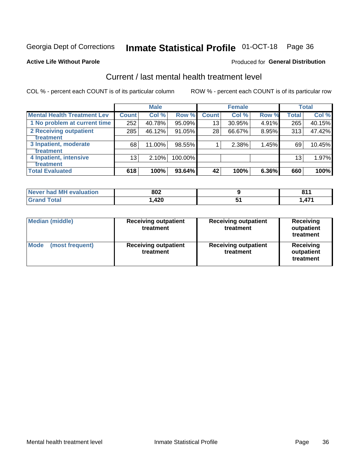## Inmate Statistical Profile 01-OCT-18 Page 36

### **Active Life Without Parole**

### Produced for General Distribution

## Current / last mental health treatment level

COL % - percent each COUNT is of its particular column

|                                    |              | <b>Male</b> |         |              | <b>Female</b> |       |                 | <b>Total</b> |
|------------------------------------|--------------|-------------|---------|--------------|---------------|-------|-----------------|--------------|
| <b>Mental Health Treatment Lev</b> | <b>Count</b> | Col %       | Row %   | <b>Count</b> | Col%          | Row % | <b>Total</b>    | Col %        |
| 1 No problem at current time       | 252          | 40.78%      | 95.09%  | 13           | 30.95%        | 4.91% | 265             | 40.15%       |
| 2 Receiving outpatient             | 285          | 46.12%      | 91.05%  | 28           | 66.67%        | 8.95% | 313             | 47.42%       |
| <b>Treatment</b>                   |              |             |         |              |               |       |                 |              |
| 3 Inpatient, moderate              | 68           | 11.00%      | 98.55%  |              | 2.38%         | 1.45% | 69              | 10.45%       |
| <b>Treatment</b>                   |              |             |         |              |               |       |                 |              |
| 4 Inpatient, intensive             | 13           | 2.10%       | 100.00% |              |               |       | 13 <sub>1</sub> | 1.97%        |
| <b>Treatment</b>                   |              |             |         |              |               |       |                 |              |
| <b>Total Evaluated</b>             | 618          | 100%        | 93.64%  | 42           | 100%          | 6.36% | 660             | 100%         |

| Never had MH evaluation | 802    | O <sub>4</sub> |
|-------------------------|--------|----------------|
| Total                   | 420, ا | 474            |

| <b>Median (middle)</b>         | <b>Receiving outpatient</b><br>treatment | <b>Receiving outpatient</b><br>treatment | <b>Receiving</b><br>outpatient<br>treatment |  |
|--------------------------------|------------------------------------------|------------------------------------------|---------------------------------------------|--|
| <b>Mode</b><br>(most frequent) | <b>Receiving outpatient</b><br>treatment | <b>Receiving outpatient</b><br>treatment | <b>Receiving</b><br>outpatient<br>treatment |  |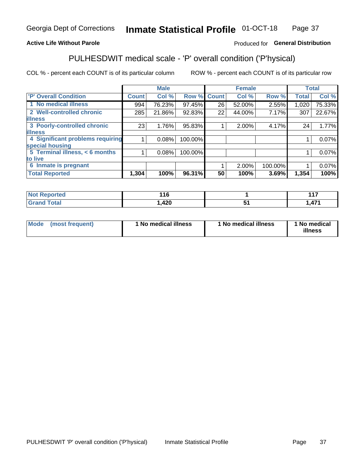#### **Inmate Statistical Profile 01-OCT-18** Page 37

### **Active Life Without Parole**

### Produced for General Distribution

## PULHESDWIT medical scale - 'P' overall condition ('P'hysical)

COL % - percent each COUNT is of its particular column

|                                  |                 | <b>Male</b> |             |                 | <b>Female</b> |         |              | <b>Total</b> |
|----------------------------------|-----------------|-------------|-------------|-----------------|---------------|---------|--------------|--------------|
| 'P' Overall Condition            | <b>Count</b>    | Col %       | Row % Count |                 | Col %         | Row %   | <b>Total</b> | Col %        |
| 1 No medical illness             | 994             | 76.23%      | 97.45%      | 26              | 52.00%        | 2.55%   | 1,020        | 75.33%       |
| 2 Well-controlled chronic        | 285             | 21.86%      | 92.83%      | 22              | 44.00%        | 7.17%   | 307          | 22.67%       |
| <b>illness</b>                   |                 |             |             |                 |               |         |              |              |
| 3 Poorly-controlled chronic      | 23 <sub>1</sub> | 1.76%       | 95.83%      |                 | $2.00\%$      | 4.17%   | 24           | 1.77%        |
| <b>illness</b>                   |                 |             |             |                 |               |         |              |              |
| 4 Significant problems requiring |                 | 0.08%       | 100.00%     |                 |               |         |              | 0.07%        |
| special housing                  |                 |             |             |                 |               |         |              |              |
| 5 Terminal illness, < 6 months   |                 | 0.08%       | 100.00%     |                 |               |         |              | 0.07%        |
| to live                          |                 |             |             |                 |               |         |              |              |
| 6 Inmate is pregnant             |                 |             |             |                 | 2.00%         | 100.00% |              | 0.07%        |
| <b>Total Reported</b>            | 1,304           | 100%        | 96.31%      | 50 <sub>1</sub> | 100%          | 3.69%   | 1,354        | 100%         |

| prtea<br>w<br>$\sim$           | 116               |               | .<br>. .<br>.       |
|--------------------------------|-------------------|---------------|---------------------|
| $f \wedge f \wedge f$<br>_____ | חרו<br>n<br>, 140 | $\sim$ $\sim$ | $\rightarrow$<br>., |

| Mode<br>(most frequent) | 1 No medical illness | <sup>1</sup> No medical illness | 1 No medical<br>illness |
|-------------------------|----------------------|---------------------------------|-------------------------|
|-------------------------|----------------------|---------------------------------|-------------------------|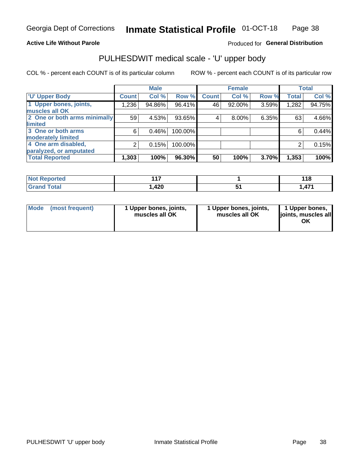### **Active Life Without Parole**

### Produced for General Distribution

## PULHESDWIT medical scale - 'U' upper body

COL % - percent each COUNT is of its particular column

|                              |              | <b>Male</b> |         |              | <b>Female</b> |       |              | <b>Total</b> |
|------------------------------|--------------|-------------|---------|--------------|---------------|-------|--------------|--------------|
| <b>'U' Upper Body</b>        | <b>Count</b> | Col %       | Row %   | <b>Count</b> | Col %         | Row % | <b>Total</b> | Col %        |
| 1 Upper bones, joints,       | 1,236        | 94.86%      | 96.41%  | 46           | 92.00%        | 3.59% | 1,282        | 94.75%       |
| muscles all OK               |              |             |         |              |               |       |              |              |
| 2 One or both arms minimally | 59           | 4.53%       | 93.65%  | 4            | 8.00%         | 6.35% | 63           | 4.66%        |
| limited                      |              |             |         |              |               |       |              |              |
| 3 One or both arms           | 6            | 0.46%       | 100.00% |              |               |       | 6            | 0.44%        |
| <b>moderately limited</b>    |              |             |         |              |               |       |              |              |
| 4 One arm disabled,          | 2            | 0.15%       | 100.00% |              |               |       | 2            | 0.15%        |
| paralyzed, or amputated      |              |             |         |              |               |       |              |              |
| <b>Total Reported</b>        | 1,303        | 100%        | 96.30%  | 50           | 100%          | 3.70% | 1,353        | 100%         |

| orted<br><b>NOT REDOM</b><br>. <b>.</b> | 447<br>.    | 4 4 C<br>טוו               |
|-----------------------------------------|-------------|----------------------------|
| <b>Total</b>                            | ハウハ<br>,42U | $1 - 1$<br>$\sqrt{ }$<br>. |

| Mode | (most frequent) | 1 Upper bones, joints,<br>muscles all OK | 1 Upper bones, joints,<br>muscles all OK | 1 Upper bones,<br>ljoints, muscles all<br>ΟK |
|------|-----------------|------------------------------------------|------------------------------------------|----------------------------------------------|
|------|-----------------|------------------------------------------|------------------------------------------|----------------------------------------------|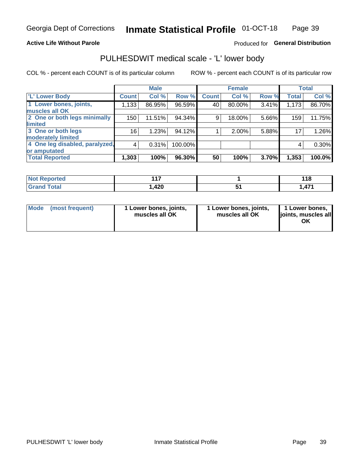### **Active Life Without Parole**

### Produced for General Distribution

### PULHESDWIT medical scale - 'L' lower body

COL % - percent each COUNT is of its particular column

|                                |              | <b>Male</b> |         |              | <b>Female</b> |       |              | <b>Total</b> |
|--------------------------------|--------------|-------------|---------|--------------|---------------|-------|--------------|--------------|
| 'L' Lower Body                 | <b>Count</b> | Col %       | Row %   | <b>Count</b> | Col %         | Row % | <b>Total</b> | Col %        |
| 1 Lower bones, joints,         | 1,133        | 86.95%      | 96.59%  | 40           | 80.00%        | 3.41% | 1,173        | 86.70%       |
| muscles all OK                 |              |             |         |              |               |       |              |              |
| 2 One or both legs minimally   | 150          | 11.51%      | 94.34%  | 9            | 18.00%        | 5.66% | 159          | 11.75%       |
| limited                        |              |             |         |              |               |       |              |              |
| 3 One or both legs             | 16           | 1.23%       | 94.12%  |              | 2.00%         | 5.88% | 17           | 1.26%        |
| moderately limited             |              |             |         |              |               |       |              |              |
| 4 One leg disabled, paralyzed, | 4            | 0.31%       | 100.00% |              |               |       | 4            | 0.30%        |
| or amputated                   |              |             |         |              |               |       |              |              |
| <b>Total Reported</b>          | 1,303        | 100%        | 96.30%  | 50           | 100%          | 3.70% | 1,353        | 100.0%       |

| orted<br><b>NOT REDOM</b><br>. <b>.</b> | 447<br>.    | 4 4 C<br>טוו               |
|-----------------------------------------|-------------|----------------------------|
| <b>Total</b>                            | ハウハ<br>,42U | $1 - 1$<br>$\sqrt{ }$<br>. |

| Mode | (most frequent) | 1 Lower bones, joints,<br>muscles all OK | 1 Lower bones, joints,<br>muscles all OK | 1 Lower bones,<br>ljoints, muscles all<br>ΟK |
|------|-----------------|------------------------------------------|------------------------------------------|----------------------------------------------|
|------|-----------------|------------------------------------------|------------------------------------------|----------------------------------------------|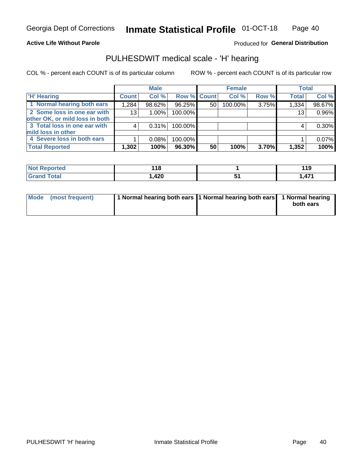### **Active Life Without Parole**

Produced for General Distribution

### PULHESDWIT medical scale - 'H' hearing

COL % - percent each COUNT is of its particular column

|                                | <b>Male</b>     |          | <b>Female</b> |    |         | <b>Total</b> |              |          |
|--------------------------------|-----------------|----------|---------------|----|---------|--------------|--------------|----------|
| <b>H' Hearing</b>              | <b>Count</b>    | Col %    | Row % Count   |    | Col %   | Row %        | <b>Total</b> | Col %    |
| 1 Normal hearing both ears     | 1,284           | 98.62%   | 96.25%        | 50 | 100.00% | 3.75%        | 1,334        | 98.67%   |
| 2 Some loss in one ear with    | 13 <sub>1</sub> | $1.00\%$ | 100.00%       |    |         |              | 13           | 0.96%    |
| other OK, or mild loss in both |                 |          |               |    |         |              |              |          |
| 3 Total loss in one ear with   | 4               | 0.31%    | 100.00%       |    |         |              | 4            | $0.30\%$ |
| mild loss in other             |                 |          |               |    |         |              |              |          |
| 4 Severe loss in both ears     |                 | 0.08%    | 100.00%       |    |         |              |              | 0.07%    |
| <b>Total Reported</b>          | 1,302           | 100%     | 96.30%        | 50 | 100%    | 3.70%        | 1,352        | 100%     |

| <b>Not</b><br><b>Reported</b> | 18          | 14 C<br>I I J |
|-------------------------------|-------------|---------------|
| Гоtal                         | 100<br>,440 | 17.<br>.,     |

| Mode (most frequent) | 1 Normal hearing both ears 1 Normal hearing both ears 1 Normal hearing | both ears |
|----------------------|------------------------------------------------------------------------|-----------|
|                      |                                                                        |           |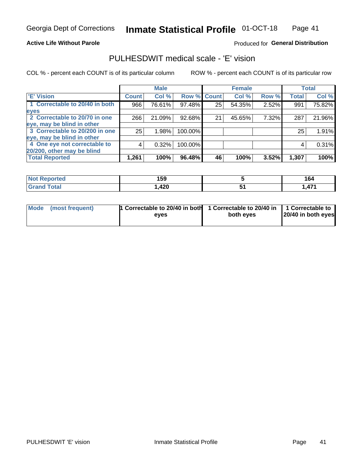### **Active Life Without Parole**

### Produced for General Distribution

### PULHESDWIT medical scale - 'E' vision

COL % - percent each COUNT is of its particular column

|                                |              | <b>Male</b> |             |    | <b>Female</b> |       |              | <b>Total</b> |
|--------------------------------|--------------|-------------|-------------|----|---------------|-------|--------------|--------------|
| <b>E' Vision</b>               | <b>Count</b> | Col %       | Row % Count |    | Col %         | Row % | <b>Total</b> | Col %        |
| 1 Correctable to 20/40 in both | 966          | 76.61%      | 97.48%      | 25 | 54.35%        | 2.52% | 991          | 75.82%       |
| eyes                           |              |             |             |    |               |       |              |              |
| 2 Correctable to 20/70 in one  | 266          | 21.09%      | 92.68%      | 21 | 45.65%        | 7.32% | 287          | 21.96%       |
| eye, may be blind in other     |              |             |             |    |               |       |              |              |
| 3 Correctable to 20/200 in one | 25           | 1.98%       | 100.00%     |    |               |       | 25           | 1.91%        |
| eye, may be blind in other     |              |             |             |    |               |       |              |              |
| 4 One eye not correctable to   | 4            | 0.32%       | 100.00%     |    |               |       | 4            | 0.31%        |
| 20/200, other may be blind     |              |             |             |    |               |       |              |              |
| <b>Total Reported</b>          | 1,261        | 100%        | $96.48\%$   | 46 | 100%          | 3.52% | 1,307        | 100%         |

| <b>Not Reported</b> | 159  | 164            |
|---------------------|------|----------------|
| Total               | ,420 | 171<br>, , , , |

| Mode (most frequent) | 1 Correctable to 20/40 in both<br>eves | 1 Correctable to 20/40 in   1 Correctable to<br>both eves | 20/40 in both eyes |
|----------------------|----------------------------------------|-----------------------------------------------------------|--------------------|
|                      |                                        |                                                           |                    |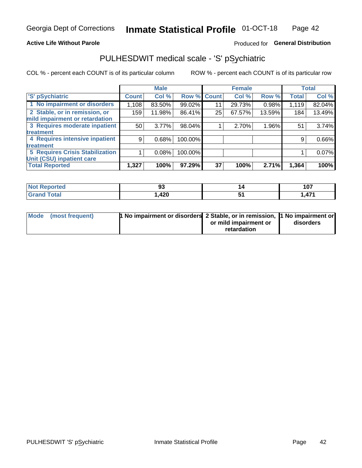### **Active Life Without Parole**

### Produced for General Distribution

## PULHESDWIT medical scale - 'S' pSychiatric

COL % - percent each COUNT is of its particular column

|                                 |              | <b>Male</b> |         |             | <b>Female</b> |        |              | <b>Total</b> |
|---------------------------------|--------------|-------------|---------|-------------|---------------|--------|--------------|--------------|
| 'S' pSychiatric                 | <b>Count</b> | Col %       |         | Row % Count | Col %         | Row %  | <b>Total</b> | Col %        |
| 1 No impairment or disorders    | 1,108        | 83.50%      | 99.02%  | 11          | 29.73%        | 0.98%  | 1,119        | 82.04%       |
| 2 Stable, or in remission, or   | 159          | 11.98%      | 86.41%  | 25          | 67.57%        | 13.59% | 184          | 13.49%       |
| mild impairment or retardation  |              |             |         |             |               |        |              |              |
| 3 Requires moderate inpatient   | 50           | 3.77%       | 98.04%  |             | 2.70%         | 1.96%  | 51           | 3.74%        |
| <b>treatment</b>                |              |             |         |             |               |        |              |              |
| 4 Requires intensive inpatient  | 9            | 0.68%       | 100.00% |             |               |        | 9            | 0.66%        |
| <b>treatment</b>                |              |             |         |             |               |        |              |              |
| 5 Requires Crisis Stabilization |              | 0.08%       | 100.00% |             |               |        |              | $0.07\%$     |
| Unit (CSU) inpatient care       |              |             |         |             |               |        |              |              |
| <b>Total Reported</b>           | 1,327        | 100%        | 97.29%  | 37          | 100%          | 2.71%  | 1,364        | 100%         |

| <b>Not Reported</b> | n.<br>◡ | 107                 |
|---------------------|---------|---------------------|
| <b>Grand Total</b>  | ,420    | A74<br>$\mathbf{A}$ |

| Mode (most frequent) | <b>1 No impairment or disorders</b> 2 Stable, or in remission, 11 No impairment or |                       |           |
|----------------------|------------------------------------------------------------------------------------|-----------------------|-----------|
|                      |                                                                                    | or mild impairment or | disorders |
|                      |                                                                                    | retardation           |           |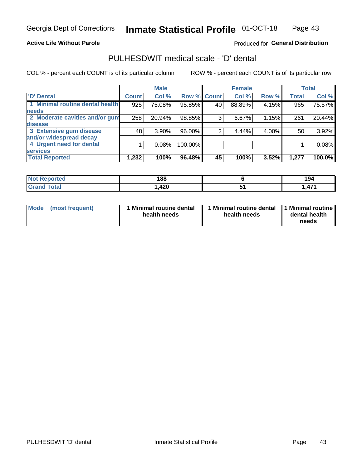### **Active Life Without Parole**

### Produced for General Distribution

## PULHESDWIT medical scale - 'D' dental

COL % - percent each COUNT is of its particular column

|                                 |              | <b>Male</b> |         |              | <b>Female</b> |       |              | <b>Total</b> |
|---------------------------------|--------------|-------------|---------|--------------|---------------|-------|--------------|--------------|
| <b>D'</b> Dental                | <b>Count</b> | Col %       | Row %   | <b>Count</b> | Col %         | Row % | <b>Total</b> | Col %        |
| 1 Minimal routine dental health | 925          | 75.08%      | 95.85%  | 40           | 88.89%        | 4.15% | 965          | 75.57%       |
| <b>needs</b>                    |              |             |         |              |               |       |              |              |
| 2 Moderate cavities and/or gum  | 258          | 20.94%      | 98.85%  | 3            | 6.67%         | 1.15% | 261          | 20.44%       |
| disease                         |              |             |         |              |               |       |              |              |
| 3 Extensive gum disease         | 48           | $3.90\%$    | 96.00%  |              | 4.44%         | 4.00% | 50           | 3.92%        |
| and/or widespread decay         |              |             |         |              |               |       |              |              |
| 4 Urgent need for dental        |              | 0.08%       | 100.00% |              |               |       |              | 0.08%        |
| <b>services</b>                 |              |             |         |              |               |       |              |              |
| <b>Total Reported</b>           | 1,232        | 100%        | 96.48%  | 45           | 100%          | 3.52% | 1,277        | 100.0%       |

| <b>Not Reported</b> | 188  | 194            |
|---------------------|------|----------------|
| Total               | ,420 | 171<br>, , , , |

| <b>Mode</b> | (most frequent) | <b>Minimal routine dental</b><br>health needs | 1 Minimal routine dental   1 Minimal routine  <br>health needs | dental health<br>needs |
|-------------|-----------------|-----------------------------------------------|----------------------------------------------------------------|------------------------|
|-------------|-----------------|-----------------------------------------------|----------------------------------------------------------------|------------------------|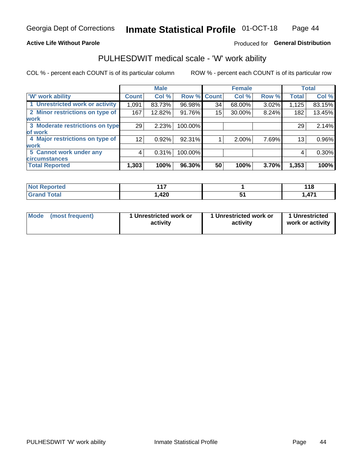### **Active Life Without Parole**

### Produced for General Distribution

### PULHESDWIT medical scale - 'W' work ability

COL % - percent each COUNT is of its particular column

|                                 |                 | <b>Male</b> |             |    | <b>Female</b> |       |       | <b>Total</b> |
|---------------------------------|-----------------|-------------|-------------|----|---------------|-------|-------|--------------|
| <b>W' work ability</b>          | <b>Count</b>    | Col %       | Row % Count |    | Col %         | Row % | Total | Col %        |
| 1 Unrestricted work or activity | 1,091           | 83.73%      | 96.98%      | 34 | 68.00%        | 3.02% | 1,125 | 83.15%       |
| 2 Minor restrictions on type of | 167             | 12.82%      | 91.76%      | 15 | 30.00%        | 8.24% | 182   | 13.45%       |
| <b>work</b>                     |                 |             |             |    |               |       |       |              |
| 3 Moderate restrictions on type | 29              | 2.23%       | 100.00%     |    |               |       | 29    | 2.14%        |
| lof work                        |                 |             |             |    |               |       |       |              |
| 4 Major restrictions on type of | 12 <sup>2</sup> | 0.92%       | 92.31%      |    | 2.00%         | 7.69% | 13    | 0.96%        |
| <b>work</b>                     |                 |             |             |    |               |       |       |              |
| 5 Cannot work under any         | 4               | 0.31%       | 100.00%     |    |               |       | 4     | 0.30%        |
| <b>circumstances</b>            |                 |             |             |    |               |       |       |              |
| <b>Total Reported</b>           | 1,303           | 100%        | 96.30%      | 50 | 100%          | 3.70% | 1,353 | 100%         |

| <b>Not Reported</b> | 447         | 440<br>. |
|---------------------|-------------|----------|
| <b>Grand Total</b>  | חרו<br>,44U | A7'      |

| Mode            | 1 Unrestricted work or | 1 Unrestricted work or | 1 Unrestricted   |
|-----------------|------------------------|------------------------|------------------|
| (most frequent) | activity               | activity               | work or activity |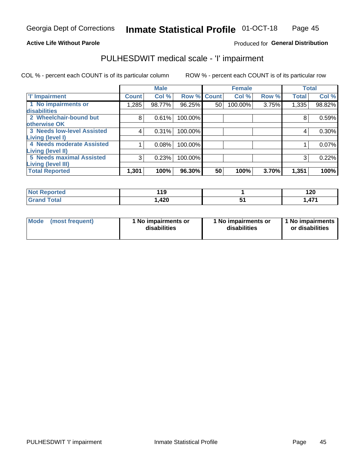### **Active Life Without Parole**

### Produced for General Distribution

## PULHESDWIT medical scale - 'I' impairment

COL % - percent each COUNT is of its particular column ROW % - percent each COUNT is of its particular row

|                                                              |              | <b>Male</b> |                    |    | <b>Female</b> |       |              | <b>Total</b> |
|--------------------------------------------------------------|--------------|-------------|--------------------|----|---------------|-------|--------------|--------------|
| <b>T' Impairment</b>                                         | <b>Count</b> | Col %       | <b>Row % Count</b> |    | Col %         | Row % | <b>Total</b> | Col %        |
| 1 No impairments or<br>disabilities                          | 1,285        | 98.77%      | 96.25%             | 50 | 100.00%       | 3.75% | 1,335        | 98.82%       |
| 2 Wheelchair-bound but                                       | 8            | 0.61%       | 100.00%            |    |               |       | 8            | 0.59%        |
| otherwise OK<br><b>3 Needs low-level Assisted</b>            | 4            | 0.31%       | 100.00%            |    |               |       | 4            | 0.30%        |
| Living (level I)                                             |              |             |                    |    |               |       |              |              |
| 4 Needs moderate Assisted<br>Living (level II)               |              | 0.08%       | 100.00%            |    |               |       |              | 0.07%        |
| <b>5 Needs maximal Assisted</b><br><b>Living (level III)</b> | 3            | 0.23%       | 100.00%            |    |               |       | 3            | 0.22%        |
| <b>Total Reported</b>                                        | 1,301        | 100%        | 96.30%             | 50 | 100%          | 3.70% | 1,351        | 100%         |

| <b>orted</b> | 11 O<br><u>.</u> | 120           |
|--------------|------------------|---------------|
| <b>otal</b>  | ,420             | A74<br>. . 47 |

| <b>Mode</b> | (most frequent) | <b>No impairments or</b><br>disabilities | 1 No impairments or<br>disabilities | 1 No impairments<br>or disabilities |
|-------------|-----------------|------------------------------------------|-------------------------------------|-------------------------------------|
|-------------|-----------------|------------------------------------------|-------------------------------------|-------------------------------------|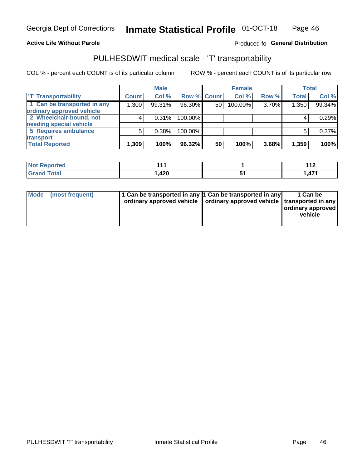### **Active Life Without Parole**

### Produced fo General Distribution

## PULHESDWIT medical scale - 'T' transportability

COL % - percent each COUNT is of its particular column

|                             |              | <b>Male</b> |             |                 | <b>Female</b> |       |              | <b>Total</b> |
|-----------------------------|--------------|-------------|-------------|-----------------|---------------|-------|--------------|--------------|
| <b>T' Transportability</b>  | <b>Count</b> | Col %       | Row % Count |                 | Col %         | Row % | <b>Total</b> | Col %        |
| 1 Can be transported in any | 1,300        | 99.31%      | 96.30%      | 50 <sup>1</sup> | 100.00%       | 3.70% | 1,350        | 99.34%       |
| ordinary approved vehicle   |              |             |             |                 |               |       |              |              |
| 2 Wheelchair-bound, not     |              | 0.31%       | 100.00%     |                 |               |       |              | 0.29%        |
| needing special vehicle     |              |             |             |                 |               |       |              |              |
| 5 Requires ambulance        | 5            | 0.38%       | 100.00%     |                 |               |       |              | 0.37%        |
| transport                   |              |             |             |                 |               |       |              |              |
| <b>Total Reported</b>       | 1,309        | 100%        | 96.32%      | 50              | 100%          | 3.68% | 1,359        | 100%         |

| 44<br>NO<br>ported |      | 1 4 C<br>╹╹┻ |
|--------------------|------|--------------|
|                    | ,420 | 471<br>., .  |

| Mode (most frequent) | 1 Can be transported in any 1 Can be transported in any | ordinary approved vehicle   ordinary approved vehicle   transported in any | 1 Can be<br>ordinary approved<br>vehicle |
|----------------------|---------------------------------------------------------|----------------------------------------------------------------------------|------------------------------------------|
|                      |                                                         |                                                                            |                                          |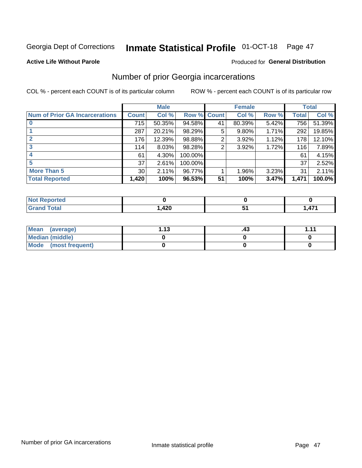## Inmate Statistical Profile 01-OCT-18 Page 47

### **Active Life Without Parole**

### **Produced for General Distribution**

### Number of prior Georgia incarcerations

COL % - percent each COUNT is of its particular column

|                                       |                 | <b>Male</b> |             |    | <b>Female</b> |       |       | <b>Total</b> |
|---------------------------------------|-----------------|-------------|-------------|----|---------------|-------|-------|--------------|
| <b>Num of Prior GA Incarcerations</b> | <b>Count</b>    | Col %       | Row % Count |    | Col %         | Row % | Total | Col %        |
|                                       | 715             | 50.35%      | 94.58%      | 41 | 80.39%        | 5.42% | 756   | 51.39%       |
|                                       | 287             | 20.21%      | 98.29%      | 5  | 9.80%         | 1.71% | 292   | 19.85%       |
|                                       | 176             | 12.39%      | 98.88%      | 2  | 3.92%         | 1.12% | 178   | 12.10%       |
| 3                                     | 114             | 8.03%       | 98.28%      | 2  | 3.92%         | 1.72% | 116   | 7.89%        |
| 4                                     | 61              | 4.30%       | 100.00%     |    |               |       | 61    | 4.15%        |
| 5                                     | 37              | 2.61%       | 100.00%     |    |               |       | 37    | 2.52%        |
| <b>More Than 5</b>                    | 30 <sub>1</sub> | 2.11%       | 96.77%      |    | 1.96%         | 3.23% | 31    | 2.11%        |
| <b>Total Reported</b>                 | 1,420           | 100%        | 96.53%      | 51 | 100%          | 3.47% | 1,471 | 100.0%       |

| <b>orted</b><br>N |      |   |
|-------------------|------|---|
| <b>otal</b>       | A ממ | . |
| $\mathbf{v}$ and  | ,440 | . |

| Mean (average)       | 1 1 2 | .43 | 444 |
|----------------------|-------|-----|-----|
| Median (middle)      |       |     |     |
| Mode (most frequent) |       |     |     |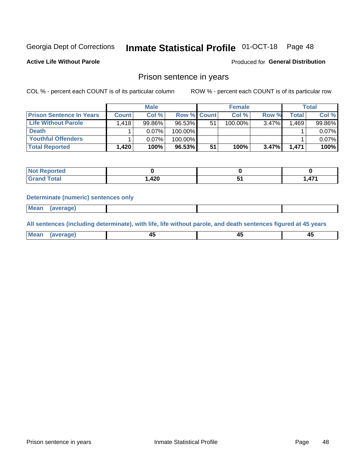#### Inmate Statistical Profile 01-OCT-18 Page 48

**Active Life Without Parole** 

Produced for General Distribution

### Prison sentence in years

COL % - percent each COUNT is of its particular column

ROW % - percent each COUNT is of its particular row

|                                 |              | <b>Male</b> |                    |    | <b>Female</b> |          |                    | Total  |
|---------------------------------|--------------|-------------|--------------------|----|---------------|----------|--------------------|--------|
| <b>Prison Sentence In Years</b> | <b>Count</b> | Col %       | <b>Row % Count</b> |    | Col %         | Row %    | Total <sub>1</sub> | Col %  |
| Life Without Parole             | 1,418        | 99.86%      | 96.53%             | 51 | $100.00\%$    | $3.47\%$ | 1.469              | 99.86% |
| <b>Death</b>                    |              | $0.07\%$    | 100.00%            |    |               |          |                    | 0.07%  |
| <b>Youthful Offenders</b>       |              | $0.07\%$    | 100.00%            |    |               |          |                    | 0.07%  |
| <b>Total Reported</b>           | 1,420        | 100%        | 96.53%             | 51 | 100%          | 3.47%    | 1.471              | 100%   |

| <b>Not Reported</b> |        |     |
|---------------------|--------|-----|
| Total               | 420, ا | A7' |

### **Determinate (numeric) sentences only**

**Mean** (average)

All sentences (including determinate), with life, life without parole, and death sentences figured at 45 years

| l Mea | --     | --     |  |
|-------|--------|--------|--|
| апе   | $\sim$ | $\sim$ |  |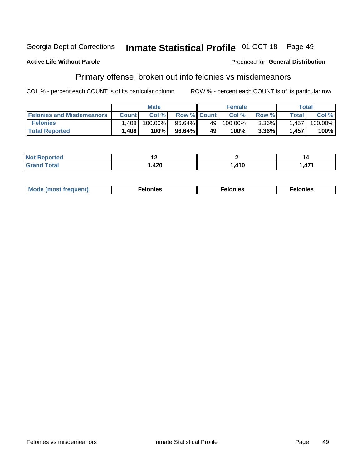#### Georgia Dept of Corrections **Inmate Statistical Profile 01-OCT-18** Page 49

### **Active Life Without Parole**

### Produced for General Distribution

### Primary offense, broken out into felonies vs misdemeanors

COL % - percent each COUNT is of its particular column

|                                  |              | <b>Male</b> |                    |    | <b>Female</b> |          |              | Total   |
|----------------------------------|--------------|-------------|--------------------|----|---------------|----------|--------------|---------|
| <b>Felonies and Misdemeanors</b> | <b>Count</b> | Col%        | <b>Row % Count</b> |    | Col%          | Row %    | <b>Total</b> | Col %   |
| <b>Felonies</b>                  | ,408         | 100.00%     | 96.64%             | 49 | 100.00%       | $3.36\%$ | 1.457        | 100.00% |
| <b>Total Reported</b>            | .408         | 100%        | 96.64%             | 49 | $100\%$       | $3.36\%$ | 1,457        | 100%    |

| <b>Not Reported</b> |      |              |     |
|---------------------|------|--------------|-----|
| <b>Total</b>        | 12N  | $\lambda$ 10 | A74 |
| <b>Grand</b>        | 44 U | 11 V         |     |

| Mode (most frequent)<br>elonies | Felonies | Felonies |
|---------------------------------|----------|----------|
|---------------------------------|----------|----------|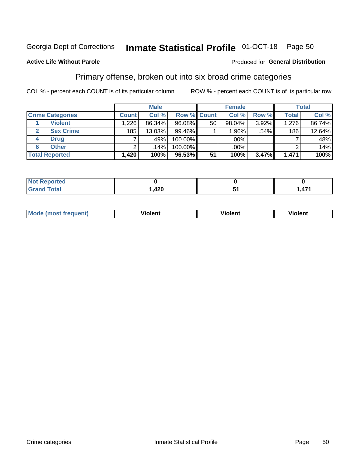#### **Inmate Statistical Profile 01-OCT-18** Page 50

### **Active Life Without Parole**

### Produced for General Distribution

### Primary offense, broken out into six broad crime categories

COL % - percent each COUNT is of its particular column

|                         |              | <b>Male</b> |           |                    | <b>Female</b> |         |              | <b>Total</b> |
|-------------------------|--------------|-------------|-----------|--------------------|---------------|---------|--------------|--------------|
| <b>Crime Categories</b> | <b>Count</b> | Col %       |           | <b>Row % Count</b> | Col %         | Row %   | <b>Total</b> | Col %        |
| <b>Violent</b>          | 1,226        | 86.34%      | 96.08%    | 50                 | 98.04%        | 3.92%   | 1,276        | 86.74%       |
| <b>Sex Crime</b>        | 185          | 13.03%      | 99.46%    |                    | 1.96%         | $.54\%$ | 186          | 12.64%       |
| <b>Drug</b><br>4        | ⇁            | .49%        | 100.00%   |                    | .00%          |         |              | .48%         |
| <b>Other</b><br>6       | 2            | $.14\%$     | 100.00%   |                    | .00%          |         |              | .14%         |
| <b>Total Reported</b>   | 1,420        | 100%        | $96.53\%$ | 51                 | 100%          | 3.47%   | 1,471        | 100%         |

| <b>Not Reported</b> |      |     |
|---------------------|------|-----|
| Total               | ,420 | 171 |

| <b>Mode (most frequent)</b> | 'iolent | Violent | <b>Tiolent</b> |
|-----------------------------|---------|---------|----------------|
|                             |         |         |                |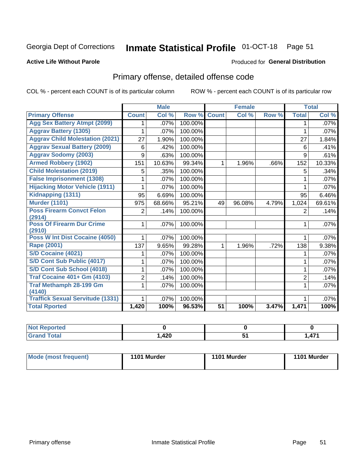#### **Inmate Statistical Profile 01-OCT-18** Page 51

### **Active Life Without Parole**

### Produced for General Distribution

## Primary offense, detailed offense code

COL % - percent each COUNT is of its particular column

|                                            |                | <b>Male</b> |         |                 | <b>Female</b> |       |                | <b>Total</b> |
|--------------------------------------------|----------------|-------------|---------|-----------------|---------------|-------|----------------|--------------|
| <b>Primary Offense</b>                     | <b>Count</b>   | Col %       | Row %   | <b>Count</b>    | Col %         | Row % | <b>Total</b>   | Col %        |
| <b>Agg Sex Battery Atmpt (2099)</b>        |                | .07%        | 100.00% |                 |               |       | 1              | .07%         |
| <b>Aggrav Battery (1305)</b>               |                | .07%        | 100.00% |                 |               |       | 1              | $.07\%$      |
| <b>Aggrav Child Molestation (2021)</b>     | 27             | 1.90%       | 100.00% |                 |               |       | 27             | 1.84%        |
| <b>Aggrav Sexual Battery (2009)</b>        | 6              | .42%        | 100.00% |                 |               |       | 6              | .41%         |
| <b>Aggrav Sodomy (2003)</b>                | 9              | .63%        | 100.00% |                 |               |       | 9              | .61%         |
| <b>Armed Robbery (1902)</b>                | 151            | 10.63%      | 99.34%  | $\mathbf 1$     | 1.96%         | .66%  | 152            | 10.33%       |
| <b>Child Molestation (2019)</b>            | 5              | .35%        | 100.00% |                 |               |       | 5              | $.34\%$      |
| <b>False Imprisonment (1308)</b>           |                | .07%        | 100.00% |                 |               |       | 1              | $.07\%$      |
| <b>Hijacking Motor Vehicle (1911)</b>      |                | .07%        | 100.00% |                 |               |       |                | $.07\%$      |
| Kidnapping (1311)                          | 95             | 6.69%       | 100.00% |                 |               |       | 95             | 6.46%        |
| <b>Murder (1101)</b>                       | 975            | 68.66%      | 95.21%  | 49              | 96.08%        | 4.79% | 1,024          | 69.61%       |
| <b>Poss Firearm Convct Felon</b><br>(2914) | $\overline{2}$ | .14%        | 100.00% |                 |               |       | $\overline{2}$ | .14%         |
| <b>Poss Of Firearm Dur Crime</b><br>(2910) | 1.             | .07%        | 100.00% |                 |               |       |                | .07%         |
| Poss W Int Dist Cocaine (4050)             | 1              | .07%        | 100.00% |                 |               |       | 1              | .07%         |
| <b>Rape (2001)</b>                         | 137            | 9.65%       | 99.28%  | 1               | 1.96%         | .72%  | 138            | 9.38%        |
| S/D Cocaine (4021)                         |                | .07%        | 100.00% |                 |               |       | 1              | .07%         |
| S/D Cont Sub Public (4017)                 | 1              | .07%        | 100.00% |                 |               |       | 1              | .07%         |
| S/D Cont Sub School (4018)                 | 1              | .07%        | 100.00% |                 |               |       | 1              | .07%         |
| <b>Traf Cocaine 401+ Gm (4103)</b>         | 2              | .14%        | 100.00% |                 |               |       | $\overline{2}$ | .14%         |
| <b>Traf Methamph 28-199 Gm</b>             | 1              | .07%        | 100.00% |                 |               |       | 1              | $.07\%$      |
| (4140)                                     |                |             |         |                 |               |       |                |              |
| <b>Traffick Sexual Servitude (1331)</b>    | 1              | .07%        | 100.00% |                 |               |       |                | .07%         |
| <b>Total Rported</b>                       | 1,420          | 100%        | 96.53%  | $\overline{51}$ | 100%          | 3.47% | 1,471          | 100%         |

| <b>Not Reported</b> |             |        |              |
|---------------------|-------------|--------|--------------|
| <b>Total</b>        | חרו<br>44 U | $\sim$ | $A - A$<br>. |

| <b>Mode (most frequent)</b> | 1101 Murder | 1101 Murder | 1101 Murder |
|-----------------------------|-------------|-------------|-------------|
|                             |             |             |             |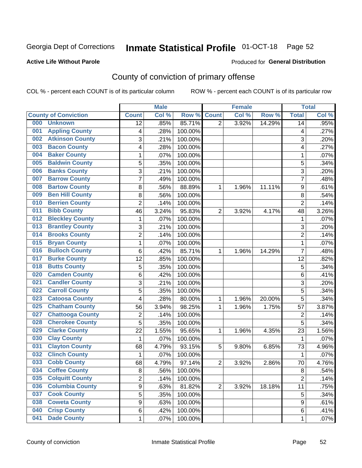## Inmate Statistical Profile 01-OCT-18 Page 52

### **Active Life Without Parole**

### Produced for General Distribution

## County of conviction of primary offense

COL % - percent each COUNT is of its particular column

|                                |                 | <b>Male</b>            |         |                | <b>Female</b> |        |                | <b>Total</b> |
|--------------------------------|-----------------|------------------------|---------|----------------|---------------|--------|----------------|--------------|
| <b>County of Conviction</b>    | <b>Count</b>    | Col %                  | Row %   | <b>Count</b>   | Col %         | Row %  | <b>Total</b>   | Col %        |
| 000<br><b>Unknown</b>          | $\overline{12}$ | .85%                   | 85.71%  | 2              | 3.92%         | 14.29% | 14             | .95%         |
| <b>Appling County</b><br>001   |                 | .28%<br>4              | 100.00% |                |               |        | 4              | .27%         |
| <b>Atkinson County</b><br>002  |                 | 3<br>.21%              | 100.00% |                |               |        | 3              | .20%         |
| <b>Bacon County</b><br>003     |                 | 4<br>.28%              | 100.00% |                |               |        | 4              | .27%         |
| <b>Baker County</b><br>004     |                 | .07%<br>1              | 100.00% |                |               |        | $\mathbf{1}$   | .07%         |
| <b>Baldwin County</b><br>005   |                 | 5<br>.35%              | 100.00% |                |               |        | 5              | .34%         |
| <b>Banks County</b><br>006     |                 | 3<br>.21%              | 100.00% |                |               |        | $\overline{3}$ | .20%         |
| <b>Barrow County</b><br>007    |                 | 7<br>.49%              | 100.00% |                |               |        | $\overline{7}$ | .48%         |
| <b>Bartow County</b><br>008    |                 | .56%<br>8              | 88.89%  | 1              | 1.96%         | 11.11% | 9              | .61%         |
| <b>Ben Hill County</b><br>009  |                 | $\bf 8$<br>.56%        | 100.00% |                |               |        | 8              | .54%         |
| <b>Berrien County</b><br>010   |                 | $\overline{c}$<br>.14% | 100.00% |                |               |        | $\overline{2}$ | .14%         |
| <b>Bibb County</b><br>011      | 46              | 3.24%                  | 95.83%  | $\overline{2}$ | 3.92%         | 4.17%  | 48             | 3.26%        |
| <b>Bleckley County</b><br>012  |                 | 1<br>.07%              | 100.00% |                |               |        | $\mathbf 1$    | .07%         |
| <b>Brantley County</b><br>013  |                 | 3<br>.21%              | 100.00% |                |               |        | 3              | .20%         |
| <b>Brooks County</b><br>014    |                 | $\overline{2}$<br>.14% | 100.00% |                |               |        | $\overline{2}$ | .14%         |
| <b>Bryan County</b><br>015     |                 | 1<br>.07%              | 100.00% |                |               |        | 1              | .07%         |
| <b>Bulloch County</b><br>016   |                 | $\,6$<br>.42%          | 85.71%  | 1              | 1.96%         | 14.29% | $\overline{7}$ | .48%         |
| <b>Burke County</b><br>017     | 12              | .85%                   | 100.00% |                |               |        | 12             | .82%         |
| <b>Butts County</b><br>018     |                 | 5<br>.35%              | 100.00% |                |               |        | 5              | .34%         |
| <b>Camden County</b><br>020    |                 | 6<br>.42%              | 100.00% |                |               |        | 6              | .41%         |
| <b>Candler County</b><br>021   |                 | 3<br>.21%              | 100.00% |                |               |        | 3              | .20%         |
| <b>Carroll County</b><br>022   |                 | 5<br>.35%              | 100.00% |                |               |        | 5              | .34%         |
| <b>Catoosa County</b><br>023   |                 | 4<br>.28%              | 80.00%  | 1              | 1.96%         | 20.00% | $\overline{5}$ | .34%         |
| <b>Chatham County</b><br>025   | 56              | 3.94%                  | 98.25%  | 1              | 1.96%         | 1.75%  | 57             | 3.87%        |
| <b>Chattooga County</b><br>027 |                 | $\overline{c}$<br>.14% | 100.00% |                |               |        | $\overline{2}$ | .14%         |
| <b>Cherokee County</b><br>028  |                 | 5<br>.35%              | 100.00% |                |               |        | 5              | .34%         |
| <b>Clarke County</b><br>029    | 22              | 1.55%                  | 95.65%  | 1              | 1.96%         | 4.35%  | 23             | 1.56%        |
| <b>Clay County</b><br>030      |                 | .07%<br>1              | 100.00% |                |               |        | $\mathbf{1}$   | .07%         |
| <b>Clayton County</b><br>031   | 68              | 4.79%                  | 93.15%  | 5              | 9.80%         | 6.85%  | 73             | 4.96%        |
| <b>Clinch County</b><br>032    |                 | $\mathbf{1}$<br>.07%   | 100.00% |                |               |        | $\mathbf{1}$   | .07%         |
| <b>Cobb County</b><br>033      | 68              | 4.79%                  | 97.14%  | $\overline{2}$ | 3.92%         | 2.86%  | 70             | 4.76%        |
| <b>Coffee County</b><br>034    |                 | 8<br>.56%              | 100.00% |                |               |        | 8              | .54%         |
| <b>Colquitt County</b><br>035  |                 | 2<br>.14%              | 100.00% |                |               |        | $\overline{2}$ | .14%         |
| <b>Columbia County</b><br>036  |                 | 9<br>.63%              | 81.82%  | $\overline{2}$ | 3.92%         | 18.18% | 11             | .75%         |
| <b>Cook County</b><br>037      |                 | $\overline{5}$<br>.35% | 100.00% |                |               |        | 5              | .34%         |
| <b>Coweta County</b><br>038    |                 | 9<br>.63%              | 100.00% |                |               |        | 9              | .61%         |
| <b>Crisp County</b><br>040     |                 | 6<br>.42%              | 100.00% |                |               |        | 6              | .41%         |
| <b>Dade County</b><br>041      |                 | $\mathbf 1$<br>.07%    | 100.00% |                |               |        | 1              | .07%         |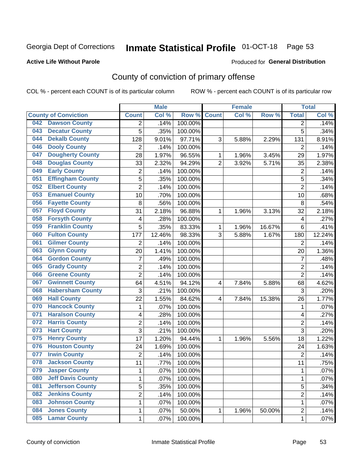## Inmate Statistical Profile 01-OCT-18 Page 53

### **Active Life Without Parole**

### Produced for General Distribution

## County of conviction of primary offense

COL % - percent each COUNT is of its particular column

|                                 |                         | <b>Male</b> |         |                | <b>Female</b> |        |                | <b>Total</b> |
|---------------------------------|-------------------------|-------------|---------|----------------|---------------|--------|----------------|--------------|
| <b>County of Conviction</b>     | <b>Count</b>            | Col %       | Row %   | <b>Count</b>   | Col %         | Row %  | <b>Total</b>   | Col %        |
| <b>Dawson County</b><br>042     | 2                       | .14%        | 100.00% |                |               |        | 2              | .14%         |
| <b>Decatur County</b><br>043    | 5                       | .35%        | 100.00% |                |               |        | 5              | .34%         |
| <b>Dekalb County</b><br>044     | 128                     | 9.01%       | 97.71%  | 3              | 5.88%         | 2.29%  | 131            | 8.91%        |
| <b>Dooly County</b><br>046      | $\overline{2}$          | .14%        | 100.00% |                |               |        | 2              | .14%         |
| <b>Dougherty County</b><br>047  | 28                      | 1.97%       | 96.55%  | $\mathbf{1}$   | 1.96%         | 3.45%  | 29             | 1.97%        |
| <b>Douglas County</b><br>048    | 33                      | 2.32%       | 94.29%  | $\overline{2}$ | 3.92%         | 5.71%  | 35             | 2.38%        |
| <b>Early County</b><br>049      | $\overline{c}$          | .14%        | 100.00% |                |               |        | $\overline{2}$ | .14%         |
| <b>Effingham County</b><br>051  | 5                       | .35%        | 100.00% |                |               |        | 5              | .34%         |
| <b>Elbert County</b><br>052     | $\overline{2}$          | .14%        | 100.00% |                |               |        | $\overline{2}$ | .14%         |
| <b>Emanuel County</b><br>053    | 10                      | .70%        | 100.00% |                |               |        | 10             | .68%         |
| <b>Fayette County</b><br>056    | 8                       | .56%        | 100.00% |                |               |        | 8              | .54%         |
| <b>Floyd County</b><br>057      | 31                      | 2.18%       | 96.88%  | 1              | 1.96%         | 3.13%  | 32             | 2.18%        |
| <b>Forsyth County</b><br>058    | 4                       | .28%        | 100.00% |                |               |        | 4              | .27%         |
| <b>Franklin County</b><br>059   | 5                       | .35%        | 83.33%  | 1              | 1.96%         | 16.67% | 6              | $.41\%$      |
| <b>Fulton County</b><br>060     | 177                     | 12.46%      | 98.33%  | 3              | 5.88%         | 1.67%  | 180            | 12.24%       |
| <b>Gilmer County</b><br>061     | $\overline{2}$          | .14%        | 100.00% |                |               |        | $\overline{2}$ | .14%         |
| <b>Glynn County</b><br>063      | 20                      | 1.41%       | 100.00% |                |               |        | 20             | 1.36%        |
| <b>Gordon County</b><br>064     | 7                       | .49%        | 100.00% |                |               |        | $\overline{7}$ | .48%         |
| <b>Grady County</b><br>065      | $\overline{2}$          | .14%        | 100.00% |                |               |        | $\overline{2}$ | .14%         |
| <b>Greene County</b><br>066     | $\overline{2}$          | .14%        | 100.00% |                |               |        | $\overline{2}$ | .14%         |
| <b>Gwinnett County</b><br>067   | 64                      | 4.51%       | 94.12%  | 4              | 7.84%         | 5.88%  | 68             | 4.62%        |
| <b>Habersham County</b><br>068  | 3                       | .21%        | 100.00% |                |               |        | 3              | .20%         |
| <b>Hall County</b><br>069       | 22                      | 1.55%       | 84.62%  | 4              | 7.84%         | 15.38% | 26             | 1.77%        |
| <b>Hancock County</b><br>070    | 1                       | .07%        | 100.00% |                |               |        | 1              | .07%         |
| <b>Haralson County</b><br>071   | 4                       | .28%        | 100.00% |                |               |        | 4              | .27%         |
| <b>Harris County</b><br>072     | $\overline{2}$          | .14%        | 100.00% |                |               |        | $\overline{2}$ | .14%         |
| <b>Hart County</b><br>073       | 3                       | .21%        | 100.00% |                |               |        | $\overline{3}$ | .20%         |
| <b>Henry County</b><br>075      | 17                      | 1.20%       | 94.44%  | 1              | 1.96%         | 5.56%  | 18             | 1.22%        |
| <b>Houston County</b><br>076    | 24                      | 1.69%       | 100.00% |                |               |        | 24             | 1.63%        |
| <b>Irwin County</b><br>077      | $\overline{2}$          | .14%        | 100.00% |                |               |        | $\overline{2}$ | .14%         |
| 078<br><b>Jackson County</b>    | 11                      | .77%        | 100.00% |                |               |        | 11             | .75%         |
| 079<br><b>Jasper County</b>     | 1                       | .07%        | 100.00% |                |               |        | 1              | $.07\%$      |
| <b>Jeff Davis County</b><br>080 | 1                       | .07%        | 100.00% |                |               |        | $\mathbf{1}$   | .07%         |
| <b>Jefferson County</b><br>081  | $\overline{5}$          | .35%        | 100.00% |                |               |        | $\overline{5}$ | .34%         |
| <b>Jenkins County</b><br>082    | $\overline{\mathbf{c}}$ | .14%        | 100.00% |                |               |        | $\overline{2}$ | .14%         |
| <b>Johnson County</b><br>083    | 1                       | .07%        | 100.00% |                |               |        | $\mathbf{1}$   | .07%         |
| <b>Jones County</b><br>084      | 1                       | .07%        | 50.00%  | $\mathbf{1}$   | 1.96%         | 50.00% | $\overline{c}$ | .14%         |
| <b>Lamar County</b><br>085      | $\mathbf 1$             | .07%        | 100.00% |                |               |        | $\mathbf 1$    | .07%         |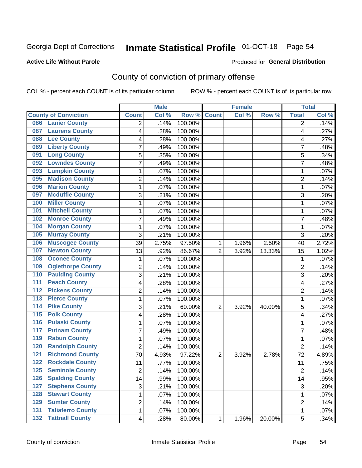## Inmate Statistical Profile 01-OCT-18 Page 54

### **Active Life Without Parole**

### Produced for General Distribution

## County of conviction of primary offense

COL % - percent each COUNT is of its particular column

|                                            |                         | <b>Male</b> |         |                | <b>Female</b> |        |                | <b>Total</b> |
|--------------------------------------------|-------------------------|-------------|---------|----------------|---------------|--------|----------------|--------------|
| <b>County of Conviction</b>                | <b>Count</b>            | Col %       | Row %   | <b>Count</b>   | Col %         | Row %  | <b>Total</b>   | Col %        |
| <b>Lanier County</b><br>086                | 2                       | .14%        | 100.00% |                |               |        | 2              | .14%         |
| <b>Laurens County</b><br>087               | 4                       | .28%        | 100.00% |                |               |        | 4              | .27%         |
| <b>Lee County</b><br>088                   | 4                       | .28%        | 100.00% |                |               |        | 4              | .27%         |
| <b>Liberty County</b><br>089               | 7                       | .49%        | 100.00% |                |               |        | 7              | .48%         |
| <b>Long County</b><br>091                  | 5                       | .35%        | 100.00% |                |               |        | 5              | .34%         |
| <b>Lowndes County</b><br>092               | 7                       | .49%        | 100.00% |                |               |        | $\overline{7}$ | .48%         |
| <b>Lumpkin County</b><br>093               | 1                       | .07%        | 100.00% |                |               |        | 1              | .07%         |
| <b>Madison County</b><br>095               | $\overline{2}$          | .14%        | 100.00% |                |               |        | $\overline{2}$ | .14%         |
| <b>Marion County</b><br>096                | 1                       | .07%        | 100.00% |                |               |        | $\mathbf{1}$   | .07%         |
| <b>Mcduffie County</b><br>097              | 3                       | .21%        | 100.00% |                |               |        | 3              | .20%         |
| <b>Miller County</b><br>100                | 1                       | .07%        | 100.00% |                |               |        | 1              | .07%         |
| <b>Mitchell County</b><br>101              | 1                       | .07%        | 100.00% |                |               |        | 1              | .07%         |
| <b>Monroe County</b><br>102                | 7                       | .49%        | 100.00% |                |               |        | $\overline{7}$ | .48%         |
| <b>Morgan County</b><br>104                | 1                       | .07%        | 100.00% |                |               |        | $\mathbf{1}$   | .07%         |
| <b>Murray County</b><br>105                | 3                       | .21%        | 100.00% |                |               |        | 3              | .20%         |
| <b>Muscogee County</b><br>106              | 39                      | 2.75%       | 97.50%  | 1              | 1.96%         | 2.50%  | 40             | 2.72%        |
| <b>Newton County</b><br>107                | 13                      | .92%        | 86.67%  | $\overline{2}$ | 3.92%         | 13.33% | 15             | 1.02%        |
| <b>Oconee County</b><br>108                | 1                       | .07%        | 100.00% |                |               |        | 1              | .07%         |
| <b>Oglethorpe County</b><br>109            | $\overline{c}$          | .14%        | 100.00% |                |               |        | $\overline{2}$ | .14%         |
| <b>Paulding County</b><br>110              | $\overline{3}$          | .21%        | 100.00% |                |               |        | $\overline{3}$ | .20%         |
| <b>Peach County</b><br>111                 | 4                       | .28%        | 100.00% |                |               |        | 4              | .27%         |
| 112<br><b>Pickens County</b>               | $\overline{2}$          | .14%        | 100.00% |                |               |        | $\overline{2}$ | .14%         |
| 113<br><b>Pierce County</b>                | 1                       | .07%        | 100.00% |                |               |        | $\mathbf{1}$   | .07%         |
| <b>Pike County</b><br>114                  | 3                       | .21%        | 60.00%  | $\overline{2}$ | 3.92%         | 40.00% | 5              | .34%         |
| <b>Polk County</b><br>$\overline{115}$     | 4                       | .28%        | 100.00% |                |               |        | 4              | .27%         |
| <b>Pulaski County</b><br>116               | 1                       | .07%        | 100.00% |                |               |        | $\mathbf{1}$   | .07%         |
| <b>Putnam County</b><br>117                | 7                       | .49%        | 100.00% |                |               |        | $\overline{7}$ | .48%         |
| <b>Rabun County</b><br>119                 | 1                       | .07%        | 100.00% |                |               |        | 1              | .07%         |
| <b>Randolph County</b><br>120              | 2                       | .14%        | 100.00% |                |               |        | $\overline{2}$ | .14%         |
| <b>Richmond County</b><br>121              | 70                      | 4.93%       | 97.22%  | $\overline{2}$ | 3.92%         | 2.78%  | 72             | 4.89%        |
| <b>Rockdale County</b><br>122              | 11                      | .77%        | 100.00% |                |               |        | 11             | .75%         |
| 125<br><b>Seminole County</b>              | 2                       | .14%        | 100.00% |                |               |        | 2              | .14%         |
| <b>Spalding County</b><br>126              | 14                      | .99%        | 100.00% |                |               |        | 14             | .95%         |
| <b>Stephens County</b><br>127              | 3                       | .21%        | 100.00% |                |               |        | 3              | .20%         |
| <b>Stewart County</b><br>128               | 1                       | .07%        | 100.00% |                |               |        | $\mathbf 1$    | .07%         |
| <b>Sumter County</b><br>129                | $\overline{2}$          | .14%        | 100.00% |                |               |        | $\overline{c}$ | .14%         |
| <b>Taliaferro County</b><br>131            | 1                       | .07%        | 100.00% |                |               |        | $\mathbf 1$    | .07%         |
| <b>Tattnall County</b><br>$\overline{132}$ | $\overline{\mathbf{4}}$ | .28%        | 80.00%  | 1              | 1.96%         | 20.00% | 5              | .34%         |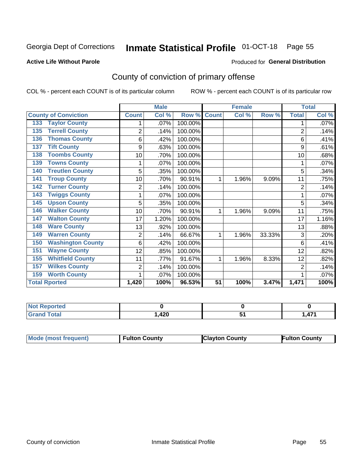## Inmate Statistical Profile 01-OCT-18 Page 55

### **Active Life Without Parole**

### Produced for General Distribution

## County of conviction of primary offense

COL % - percent each COUNT is of its particular column

|                                 |                | <b>Male</b> |         |              | <b>Female</b> |        |                | <b>Total</b> |
|---------------------------------|----------------|-------------|---------|--------------|---------------|--------|----------------|--------------|
| <b>County of Conviction</b>     | <b>Count</b>   | Col %       | Row %   | <b>Count</b> | Col %         | Row %  | <b>Total</b>   | Col %        |
| <b>Taylor County</b><br>133     |                | .07%        | 100.00% |              |               |        |                | .07%         |
| <b>Terrell County</b><br>135    | $\overline{2}$ | .14%        | 100.00% |              |               |        | $\overline{2}$ | .14%         |
| <b>Thomas County</b><br>136     | 6              | .42%        | 100.00% |              |               |        | 6              | .41%         |
| <b>Tift County</b><br>137       | 9              | .63%        | 100.00% |              |               |        | 9              | .61%         |
| <b>Toombs County</b><br>138     | 10             | .70%        | 100.00% |              |               |        | 10             | .68%         |
| <b>Towns County</b><br>139      | 1              | .07%        | 100.00% |              |               |        |                | .07%         |
| <b>Treutlen County</b><br>140   | 5              | .35%        | 100.00% |              |               |        | 5              | .34%         |
| <b>Troup County</b><br>141      | 10             | .70%        | 90.91%  | 1            | 1.96%         | 9.09%  | 11             | .75%         |
| <b>Turner County</b><br>142     | $\overline{2}$ | .14%        | 100.00% |              |               |        | $\overline{2}$ | .14%         |
| <b>Twiggs County</b><br>143     |                | .07%        | 100.00% |              |               |        |                | .07%         |
| <b>Upson County</b><br>145      | 5              | .35%        | 100.00% |              |               |        | 5              | .34%         |
| <b>Walker County</b><br>146     | 10             | .70%        | 90.91%  | 1            | 1.96%         | 9.09%  | 11             | .75%         |
| <b>Walton County</b><br>147     | 17             | 1.20%       | 100.00% |              |               |        | 17             | 1.16%        |
| <b>Ware County</b><br>148       | 13             | .92%        | 100.00% |              |               |        | 13             | .88%         |
| <b>Warren County</b><br>149     | $\overline{2}$ | .14%        | 66.67%  | 1            | 1.96%         | 33.33% | 3              | .20%         |
| <b>Washington County</b><br>150 | 6              | .42%        | 100.00% |              |               |        | 6              | .41%         |
| <b>Wayne County</b><br>151      | 12             | .85%        | 100.00% |              |               |        | 12             | .82%         |
| <b>Whitfield County</b><br>155  | 11             | .77%        | 91.67%  | 1            | 1.96%         | 8.33%  | 12             | .82%         |
| <b>Wilkes County</b><br>157     | $\overline{2}$ | .14%        | 100.00% |              |               |        | $\overline{2}$ | .14%         |
| <b>Worth County</b><br>159      | 1              | .07%        | 100.00% |              |               |        |                | .07%         |
| <b>Total Rported</b>            | 1,420          | 100%        | 96.53%  | 51           | 100%          | 3.47%  | 1,471          | 100%         |

| المناسب<br>N<br>orteu |      |                 |
|-----------------------|------|-----------------|
| Total                 | ,420 | 47.<br>,,,<br>. |

| Mode (most frequent)<br><b>Clayton County</b><br>Fulton County<br><b>Fulton County</b> |
|----------------------------------------------------------------------------------------|
|----------------------------------------------------------------------------------------|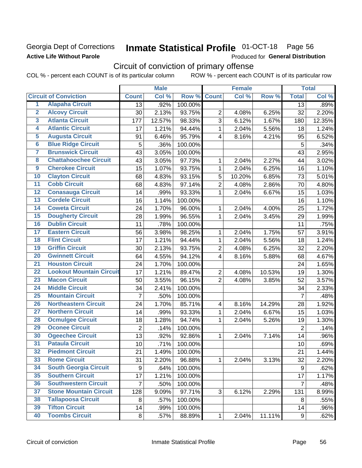### Georgia Dept of Corrections **Active Life Without Parole**

## Inmate Statistical Profile 01-OCT-18 Page 56

Produced for General Distribution

## Circuit of conviction of primary offense

COL % - percent each COUNT is of its particular column ROW % - percent each COUNT is of its particular row

|                         |                                 |                  | <b>Male</b> |         |                | <b>Female</b> |        |                | <b>Total</b> |
|-------------------------|---------------------------------|------------------|-------------|---------|----------------|---------------|--------|----------------|--------------|
|                         | <b>Circuit of Conviction</b>    | <b>Count</b>     | Col %       | Row %   | <b>Count</b>   | Col %         | Row %  | <b>Total</b>   | Col %        |
| 1                       | <b>Alapaha Circuit</b>          | 13               | .92%        | 100.00% |                |               |        | 13             | .89%         |
| $\overline{2}$          | <b>Alcovy Circuit</b>           | 30               | 2.13%       | 93.75%  | $\overline{2}$ | 4.08%         | 6.25%  | 32             | 2.20%        |
| $\overline{\mathbf{3}}$ | <b>Atlanta Circuit</b>          | 177              | 12.57%      | 98.33%  | 3              | 6.12%         | 1.67%  | 180            | 12.35%       |
| 4                       | <b>Atlantic Circuit</b>         | 17               | 1.21%       | 94.44%  | $\mathbf{1}$   | 2.04%         | 5.56%  | 18             | 1.24%        |
| $\overline{5}$          | <b>Augusta Circuit</b>          | 91               | 6.46%       | 95.79%  | $\overline{4}$ | 8.16%         | 4.21%  | 95             | 6.52%        |
| $\overline{6}$          | <b>Blue Ridge Circuit</b>       | 5                | .36%        | 100.00% |                |               |        | 5              | .34%         |
| 7                       | <b>Brunswick Circuit</b>        | 43               | 3.05%       | 100.00% |                |               |        | 43             | 2.95%        |
| 8                       | <b>Chattahoochee Circuit</b>    | 43               | 3.05%       | 97.73%  | 1              | 2.04%         | 2.27%  | 44             | 3.02%        |
| $\overline{9}$          | <b>Cherokee Circuit</b>         | 15               | 1.07%       | 93.75%  | 1              | 2.04%         | 6.25%  | 16             | 1.10%        |
| 10                      | <b>Clayton Circuit</b>          | 68               | 4.83%       | 93.15%  | 5              | 10.20%        | 6.85%  | 73             | 5.01%        |
| $\overline{11}$         | <b>Cobb Circuit</b>             | 68               | 4.83%       | 97.14%  | $\overline{2}$ | 4.08%         | 2.86%  | 70             | 4.80%        |
| $\overline{12}$         | <b>Conasauga Circuit</b>        | 14               | .99%        | 93.33%  | $\mathbf{1}$   | 2.04%         | 6.67%  | 15             | 1.03%        |
| $\overline{13}$         | <b>Cordele Circuit</b>          | 16               | 1.14%       | 100.00% |                |               |        | 16             | 1.10%        |
| $\overline{14}$         | <b>Coweta Circuit</b>           | 24               | 1.70%       | 96.00%  | $\mathbf{1}$   | 2.04%         | 4.00%  | 25             | 1.72%        |
| $\overline{15}$         | <b>Dougherty Circuit</b>        | 28               | 1.99%       | 96.55%  | 1              | 2.04%         | 3.45%  | 29             | 1.99%        |
| 16                      | <b>Dublin Circuit</b>           | 11               | .78%        | 100.00% |                |               |        | 11             | .75%         |
| $\overline{17}$         | <b>Eastern Circuit</b>          | 56               | 3.98%       | 98.25%  | 1              | 2.04%         | 1.75%  | 57             | 3.91%        |
| $\overline{18}$         | <b>Flint Circuit</b>            | 17               | 1.21%       | 94.44%  | $\mathbf{1}$   | 2.04%         | 5.56%  | 18             | 1.24%        |
| 19                      | <b>Griffin Circuit</b>          | 30               | 2.13%       | 93.75%  | $\overline{2}$ | 4.08%         | 6.25%  | 32             | 2.20%        |
| 20                      | <b>Gwinnett Circuit</b>         | 64               | 4.55%       | 94.12%  | 4              | 8.16%         | 5.88%  | 68             | 4.67%        |
| $\overline{21}$         | <b>Houston Circuit</b>          | 24               | 1.70%       | 100.00% |                |               |        | 24             | 1.65%        |
| $\overline{22}$         | <b>Lookout Mountain Circuit</b> | 17               | 1.21%       | 89.47%  | $\overline{2}$ | 4.08%         | 10.53% | 19             | 1.30%        |
| 23                      | <b>Macon Circuit</b>            | 50               | 3.55%       | 96.15%  | $\overline{2}$ | 4.08%         | 3.85%  | 52             | 3.57%        |
| 24                      | <b>Middle Circuit</b>           | 34               | 2.41%       | 100.00% |                |               |        | 34             | 2.33%        |
| $\overline{25}$         | <b>Mountain Circuit</b>         | $\overline{7}$   | .50%        | 100.00% |                |               |        | $\overline{7}$ | .48%         |
| 26                      | <b>Northeastern Circuit</b>     | 24               | 1.70%       | 85.71%  | 4              | 8.16%         | 14.29% | 28             | 1.92%        |
| $\overline{27}$         | <b>Northern Circuit</b>         | 14               | .99%        | 93.33%  | 1              | 2.04%         | 6.67%  | 15             | 1.03%        |
| 28                      | <b>Ocmulgee Circuit</b>         | 18               | 1.28%       | 94.74%  | 1              | 2.04%         | 5.26%  | 19             | 1.30%        |
| 29                      | <b>Oconee Circuit</b>           | $\overline{2}$   | .14%        | 100.00% |                |               |        | $\overline{2}$ | .14%         |
| 30                      | <b>Ogeechee Circuit</b>         | 13               | .92%        | 92.86%  | $\mathbf{1}$   | 2.04%         | 7.14%  | 14             | .96%         |
| $\overline{31}$         | <b>Pataula Circuit</b>          | 10               | .71%        | 100.00% |                |               |        | 10             | .69%         |
| 32                      | <b>Piedmont Circuit</b>         | 21               | 1.49%       | 100.00% |                |               |        | 21             | 1.44%        |
| 33                      | <b>Rome Circuit</b>             | 31               | 2.20%       | 96.88%  | $\mathbf 1$    | 2.04%         | 3.13%  | 32             | 2.20%        |
| 34                      | <b>South Georgia Circuit</b>    | $\boldsymbol{9}$ | .64%        | 100.00% |                |               |        | 9              | .62%         |
| 35                      | <b>Southern Circuit</b>         | 17               | 1.21%       | 100.00% |                |               |        | 17             | 1.17%        |
| 36                      | <b>Southwestern Circuit</b>     | $\overline{7}$   | .50%        | 100.00% |                |               |        | $\overline{7}$ | .48%         |
| 37                      | <b>Stone Mountain Circuit</b>   | 128              | 9.09%       | 97.71%  | 3              | 6.12%         | 2.29%  | 131            | 8.99%        |
| 38                      | <b>Tallapoosa Circuit</b>       | 8                | .57%        | 100.00% |                |               |        | 8              | .55%         |
| 39                      | <b>Tifton Circuit</b>           | 14               | .99%        | 100.00% |                |               |        | 14             | .96%         |
| 40                      | <b>Toombs Circuit</b>           | 8                | .57%        | 88.89%  | $\mathbf{1}$   | 2.04%         | 11.11% | 9              | .62%         |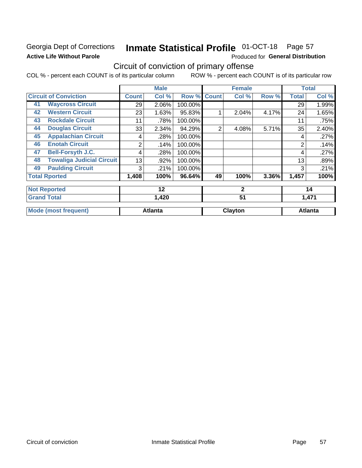### Georgia Dept of Corrections **Active Life Without Parole**

## Inmate Statistical Profile 01-OCT-18 Page 57

Produced for General Distribution

## Circuit of conviction of primary offense

COL % - percent each COUNT is of its particular column ROW % - percent each COUNT is of its particular row

|    |                                  |              | <b>Male</b>    |         |                | <b>Female</b> |       |                | <b>Total</b>   |
|----|----------------------------------|--------------|----------------|---------|----------------|---------------|-------|----------------|----------------|
|    | <b>Circuit of Conviction</b>     | <b>Count</b> | Col %          | Row %   | <b>Count</b>   | Col %         | Row % | <b>Total</b>   | Col %          |
| 41 | <b>Waycross Circuit</b>          | 29           | 2.06%          | 100.00% |                |               |       | 29             | 1.99%          |
| 42 | <b>Western Circuit</b>           | 23           | 1.63%          | 95.83%  |                | 2.04%         | 4.17% | 24             | 1.65%          |
| 43 | <b>Rockdale Circuit</b>          | 11           | .78%           | 100.00% |                |               |       | 11             | .75%           |
| 44 | <b>Douglas Circuit</b>           | 33           | 2.34%          | 94.29%  | $\overline{2}$ | 4.08%         | 5.71% | 35             | 2.40%          |
| 45 | <b>Appalachian Circuit</b>       | 4            | .28%           | 100.00% |                |               |       | 4              | .27%           |
| 46 | <b>Enotah Circuit</b>            | 2            | .14%           | 100.00% |                |               |       | $\overline{2}$ | .14%           |
| 47 | <b>Bell-Forsyth J.C.</b>         | 4            | .28%           | 100.00% |                |               |       | 4              | .27%           |
| 48 | <b>Towaliga Judicial Circuit</b> | 13           | .92%           | 100.00% |                |               |       | 13             | .89%           |
| 49 | <b>Paulding Circuit</b>          | 3            | .21%           | 100.00% |                |               |       | 3              | .21%           |
|    | <b>Total Rported</b>             | 1,408        | 100%           | 96.64%  | 49             | 100%          | 3.36% | 1,457          | 100%           |
|    | <b>Not Reported</b>              |              | 12             |         |                | $\mathbf{2}$  |       |                | 14             |
|    | <b>Grand Total</b>               |              | 1,420          |         |                | 51            |       |                | 1,471          |
|    | <b>Mode (most frequent)</b>      |              | <b>Atlanta</b> |         |                | Clayton       |       |                | <b>Atlanta</b> |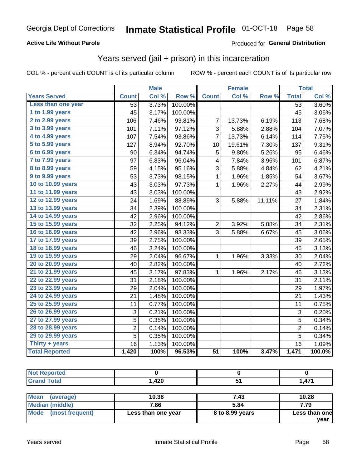### **Active Life Without Parole**

### Produced for General Distribution

### Years served (jail + prison) in this incarceration

COL % - percent each COUNT is of its particular column

|                       |                           | <b>Male</b> |         |                 | <b>Female</b> |        |                 | <b>Total</b> |
|-----------------------|---------------------------|-------------|---------|-----------------|---------------|--------|-----------------|--------------|
| <b>Years Served</b>   | <b>Count</b>              | Col %       | Row %   | <b>Count</b>    | Col %         | Row %  | <b>Total</b>    | Col %        |
| Less than one year    | 53                        | 3.73%       | 100.00% |                 |               |        | $\overline{53}$ | 3.60%        |
| 1 to 1.99 years       | 45                        | 3.17%       | 100.00% |                 |               |        | 45              | 3.06%        |
| 2 to 2.99 years       | 106                       | 7.46%       | 93.81%  | 7               | 13.73%        | 6.19%  | 113             | 7.68%        |
| 3 to 3.99 years       | 101                       | 7.11%       | 97.12%  | 3               | 5.88%         | 2.88%  | 104             | 7.07%        |
| 4 to 4.99 years       | 107                       | 7.54%       | 93.86%  | 7               | 13.73%        | 6.14%  | 114             | 7.75%        |
| 5 to 5.99 years       | 127                       | 8.94%       | 92.70%  | 10              | 19.61%        | 7.30%  | 137             | 9.31%        |
| 6 to 6.99 years       | 90                        | 6.34%       | 94.74%  | 5               | 9.80%         | 5.26%  | 95              | 6.46%        |
| 7 to 7.99 years       | 97                        | 6.83%       | 96.04%  | 4               | 7.84%         | 3.96%  | 101             | 6.87%        |
| 8 to 8.99 years       | 59                        | 4.15%       | 95.16%  | 3               | 5.88%         | 4.84%  | 62              | 4.21%        |
| 9 to 9.99 years       | 53                        | 3.73%       | 98.15%  | $\mathbf 1$     | 1.96%         | 1.85%  | 54              | 3.67%        |
| 10 to 10.99 years     | 43                        | 3.03%       | 97.73%  | $\mathbf 1$     | 1.96%         | 2.27%  | 44              | 2.99%        |
| 11 to 11.99 years     | 43                        | 3.03%       | 100.00% |                 |               |        | 43              | 2.92%        |
| 12 to 12.99 years     | 24                        | 1.69%       | 88.89%  | 3               | 5.88%         | 11.11% | 27              | 1.84%        |
| 13 to 13.99 years     | 34                        | 2.39%       | 100.00% |                 |               |        | 34              | 2.31%        |
| 14 to 14.99 years     | 42                        | 2.96%       | 100.00% |                 |               |        | 42              | 2.86%        |
| 15 to 15.99 years     | 32                        | 2.25%       | 94.12%  | $\overline{c}$  | 3.92%         | 5.88%  | 34              | 2.31%        |
| 16 to 16.99 years     | 42                        | 2.96%       | 93.33%  | 3               | 5.88%         | 6.67%  | 45              | 3.06%        |
| 17 to 17.99 years     | 39                        | 2.75%       | 100.00% |                 |               |        | 39              | 2.65%        |
| 18 to 18.99 years     | 46                        | 3.24%       | 100.00% |                 |               |        | 46              | 3.13%        |
| 19 to 19.99 years     | 29                        | 2.04%       | 96.67%  | 1               | 1.96%         | 3.33%  | 30              | 2.04%        |
| 20 to 20.99 years     | 40                        | 2.82%       | 100.00% |                 |               |        | 40              | 2.72%        |
| 21 to 21.99 years     | 45                        | 3.17%       | 97.83%  | 1               | 1.96%         | 2.17%  | 46              | 3.13%        |
| 22 to 22.99 years     | 31                        | 2.18%       | 100.00% |                 |               |        | 31              | 2.11%        |
| 23 to 23.99 years     | 29                        | 2.04%       | 100.00% |                 |               |        | 29              | 1.97%        |
| 24 to 24.99 years     | 21                        | 1.48%       | 100.00% |                 |               |        | 21              | 1.43%        |
| 25 to 25.99 years     | 11                        | 0.77%       | 100.00% |                 |               |        | 11              | 0.75%        |
| 26 to 26.99 years     | $\ensuremath{\mathsf{3}}$ | 0.21%       | 100.00% |                 |               |        | $\sqrt{3}$      | 0.20%        |
| 27 to 27.99 years     | 5                         | 0.35%       | 100.00% |                 |               |        | $\overline{5}$  | 0.34%        |
| 28 to 28.99 years     | $\overline{c}$            | 0.14%       | 100.00% |                 |               |        | $\overline{c}$  | 0.14%        |
| 29 to 29.99 years     | 5                         | 0.35%       | 100.00% |                 |               |        | $\overline{5}$  | 0.34%        |
| Thirty + years        | 16                        | 1.13%       | 100.00% |                 |               |        | $\overline{16}$ | 1.09%        |
| <b>Total Reported</b> | 1,420                     | 100%        | 96.53%  | $\overline{51}$ | 100%          | 3.47%  | 1,471           | 100.0%       |

| <b>Treo</b> |              |      |          |
|-------------|--------------|------|----------|
| ______      | חרו<br>, 740 | $ -$ | A7'<br>. |

| Mean<br>(average)    | 10.38              | 7.43            | 10.28         |
|----------------------|--------------------|-----------------|---------------|
| Median (middle)      | 7.86               | 5.84            | 7.79          |
| Mode (most frequent) | Less than one year | 8 to 8.99 years | Less than one |
|                      |                    |                 | vear          |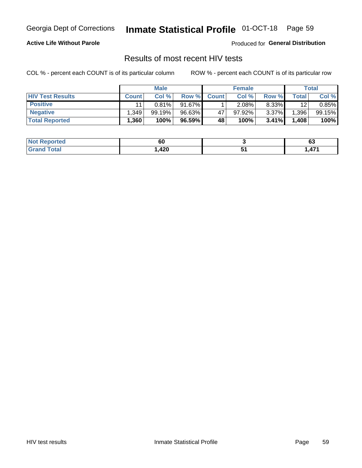## Inmate Statistical Profile 01-OCT-18 Page 59

### **Active Life Without Parole**

Produced for General Distribution

### Results of most recent HIV tests

COL % - percent each COUNT is of its particular column

|                         | <b>Male</b>       |        |        | <b>Female</b> |        |          | Total |        |
|-------------------------|-------------------|--------|--------|---------------|--------|----------|-------|--------|
| <b>HIV Test Results</b> | <b>Count</b>      | Col %  | Row %I | <b>Count</b>  | Col %  | Row %    | Total | Col %  |
| <b>Positive</b>         | 11                | 0.81%  | 91.67% |               | 2.08%  | 8.33%    | 12    | 0.85%  |
| <b>Negative</b>         | .349              | 99.19% | 96.63% | 47            | 97.92% | $3.37\%$ | .396  | 99.15% |
| <b>Total Reported</b>   | .360 <sup>°</sup> | 100%   | 96.59% | 48            | 100%   | 3.41%    | 1,408 | 100%   |

| <b>Not Reported</b> | οu   | <br>vu          |
|---------------------|------|-----------------|
| Total<br>$G$ roni   | ,420 | A7 <sup>4</sup> |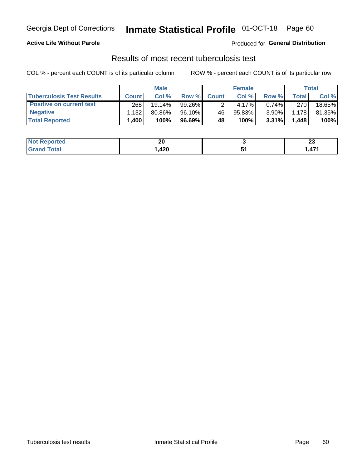## Georgia Dept of Corrections **Inmate Statistical Profile** 01-OCT-18 Page 60

### **Active Life Without Parole**

Produced for **General Distribution**

### Results of most recent tuberculosis test

COL % - percent each COUNT is of its particular column ROW % - percent each COUNT is of its particular row

|                                  | <b>Male</b>  |           |           | <b>Female</b> |        |          | Total |        |
|----------------------------------|--------------|-----------|-----------|---------------|--------|----------|-------|--------|
| <b>Tuberculosis Test Results</b> | <b>Count</b> | Col%      | Row %     | <b>Count</b>  | Col%   | Row %    | Total | Col %  |
| <b>Positive on current test</b>  | 268          | $19.14\%$ | 99.26%    |               | 4.17%  | $0.74\%$ | 270   | 18.65% |
| <b>Negative</b>                  | .132         | 80.86%    | 96.10%    | 46            | 95.83% | 3.90%    | 1.178 | 81.35% |
| <b>Total Reported</b>            | 1,400        | 100%      | $96.69\%$ | 48            | 100%   | 3.31%    | 1,448 | 100%   |

| <b>Not Reported</b> | n<br>ZU   | n.<br>W |
|---------------------|-----------|---------|
| <b>Total</b>        | 420<br>__ | A7'     |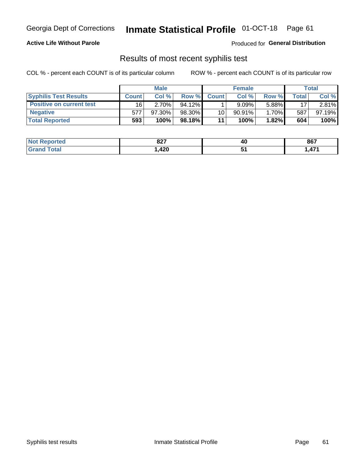## Georgia Dept of Corrections **Inmate Statistical Profile** 01-OCT-18 Page 61

### **Active Life Without Parole**

Produced for **General Distribution**

### Results of most recent syphilis test

COL % - percent each COUNT is of its particular column ROW % - percent each COUNT is of its particular row

|                                 | <b>Male</b>  |           |           | <b>Female</b> |           |        | Total |        |
|---------------------------------|--------------|-----------|-----------|---------------|-----------|--------|-------|--------|
| <b>Syphilis Test Results</b>    | <b>Count</b> | Col%      | Row %     | <b>Count</b>  | Col %     | Row %I | Total | Col %  |
| <b>Positive on current test</b> | 16           | 2.70%     | $94.12\%$ |               | 9.09%     | 5.88%  | 17    | 2.81%  |
| <b>Negative</b>                 | 577          | $97.30\%$ | 98.30%    | 10            | $90.91\%$ | 1.70%  | 587   | 97.19% |
| <b>Total Reported</b>           | 593          | 100%      | 98.18%    | 11            | 100%      | 1.82%  | 604   | 100%   |

| <b>Not Reported</b> | 027<br>ᅆ | 40 | 867  |
|---------------------|----------|----|------|
| Total               | ,420     | .  | ,471 |